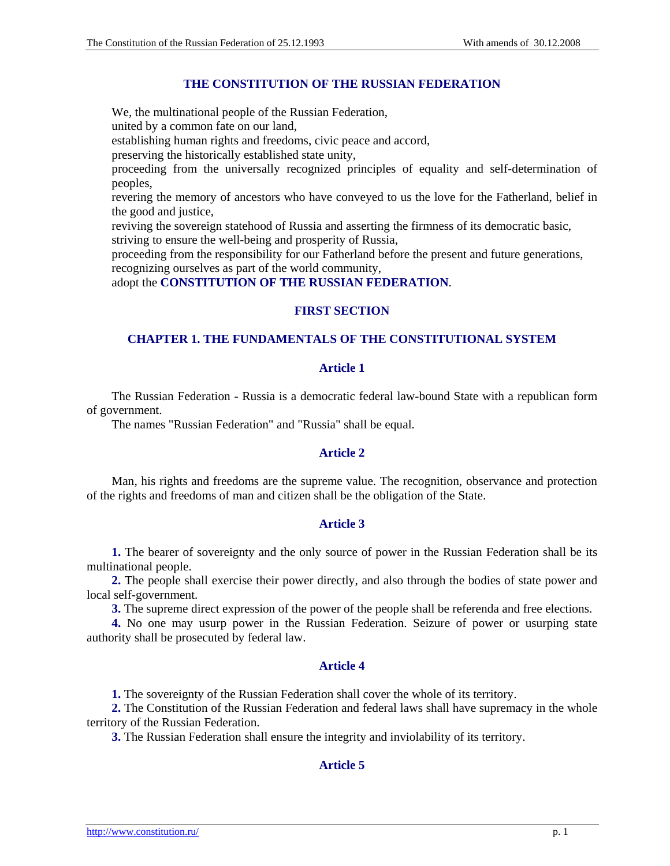# **THE CONSTITUTION OF THE RUSSIAN FEDERATION**

We, the multinational people of the Russian Federation,

united by a common fate on our land,

establishing human rights and freedoms, civic peace and accord,

preserving the historically established state unity,

proceeding from the universally recognized principles of equality and self-determination of peoples,

revering the memory of ancestors who have conveyed to us the love for the Fatherland, belief in the good and justice,

reviving the sovereign statehood of Russia and asserting the firmness of its democratic basic, striving to ensure the well-being and prosperity of Russia,

proceeding from the responsibility for our Fatherland before the present and future generations, recognizing ourselves as part of the world community,

adopt the **CONSTITUTION OF THE RUSSIAN FEDERATION**.

### **FIRST SECTION**

## **CHAPTER 1. THE FUNDAMENTALS OF THE CONSTITUTIONAL SYSTEM**

## **Article 1**

The Russian Federation - Russia is a democratic federal law-bound State with a republican form of government.

The names "Russian Federation" and "Russia" shall be equal.

### **Article 2**

Man, his rights and freedoms are the supreme value. The recognition, observance and protection of the rights and freedoms of man and citizen shall be the obligation of the State.

#### **Article 3**

**1.** The bearer of sovereignty and the only source of power in the Russian Federation shall be its multinational people.

**2.** The people shall exercise their power directly, and also through the bodies of state power and local self-government.

**3.** The supreme direct expression of the power of the people shall be referenda and free elections.

**4.** No one may usurp power in the Russian Federation. Seizure of power or usurping state authority shall be prosecuted by federal law.

## **Article 4**

**1.** The sovereignty of the Russian Federation shall cover the whole of its territory.

**2.** The Constitution of the Russian Federation and federal laws shall have supremacy in the whole territory of the Russian Federation.

**3.** The Russian Federation shall ensure the integrity and inviolability of its territory.

# **Article 5**

http://www.constitution.ru/ p. 1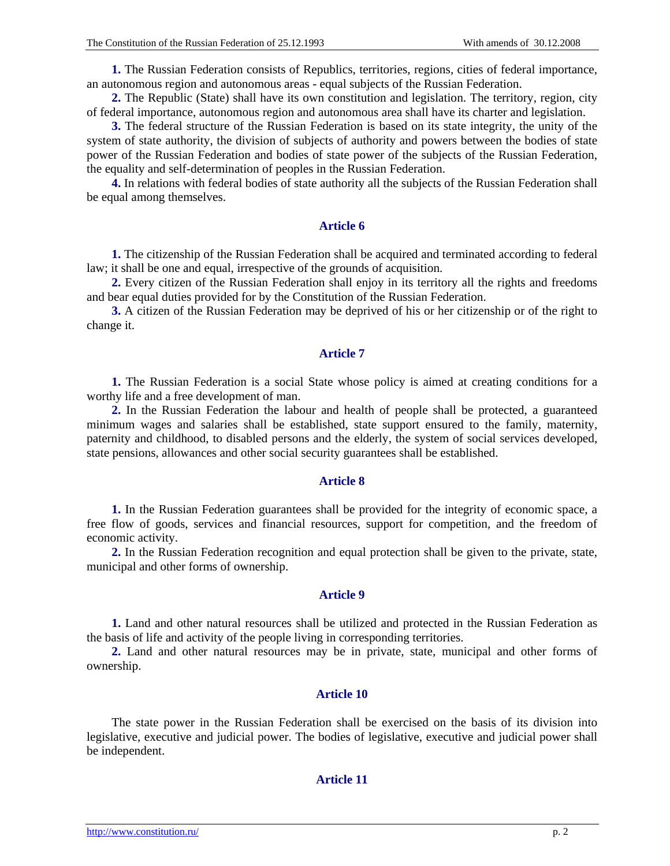**1.** The Russian Federation consists of Republics, territories, regions, cities of federal importance, an autonomous region and autonomous areas - equal subjects of the Russian Federation.

**2.** The Republic (State) shall have its own constitution and legislation. The territory, region, city of federal importance, autonomous region and autonomous area shall have its charter and legislation.

**3.** The federal structure of the Russian Federation is based on its state integrity, the unity of the system of state authority, the division of subjects of authority and powers between the bodies of state power of the Russian Federation and bodies of state power of the subjects of the Russian Federation, the equality and self-determination of peoples in the Russian Federation.

**4.** In relations with federal bodies of state authority all the subjects of the Russian Federation shall be equal among themselves.

#### **Article 6**

**1.** The citizenship of the Russian Federation shall be acquired and terminated according to federal law; it shall be one and equal, irrespective of the grounds of acquisition.

**2.** Every citizen of the Russian Federation shall enjoy in its territory all the rights and freedoms and bear equal duties provided for by the Constitution of the Russian Federation.

**3.** A citizen of the Russian Federation may be deprived of his or her citizenship or of the right to change it.

#### **Article 7**

**1.** The Russian Federation is a social State whose policy is aimed at creating conditions for a worthy life and a free development of man.

**2.** In the Russian Federation the labour and health of people shall be protected, a guaranteed minimum wages and salaries shall be established, state support ensured to the family, maternity, paternity and childhood, to disabled persons and the elderly, the system of social services developed, state pensions, allowances and other social security guarantees shall be established.

#### **Article 8**

**1.** In the Russian Federation guarantees shall be provided for the integrity of economic space, a free flow of goods, services and financial resources, support for competition, and the freedom of economic activity.

**2.** In the Russian Federation recognition and equal protection shall be given to the private, state, municipal and other forms of ownership.

#### **Article 9**

**1.** Land and other natural resources shall be utilized and protected in the Russian Federation as the basis of life and activity of the people living in corresponding territories.

**2.** Land and other natural resources may be in private, state, municipal and other forms of ownership.

#### **Article 10**

The state power in the Russian Federation shall be exercised on the basis of its division into legislative, executive and judicial power. The bodies of legislative, executive and judicial power shall be independent.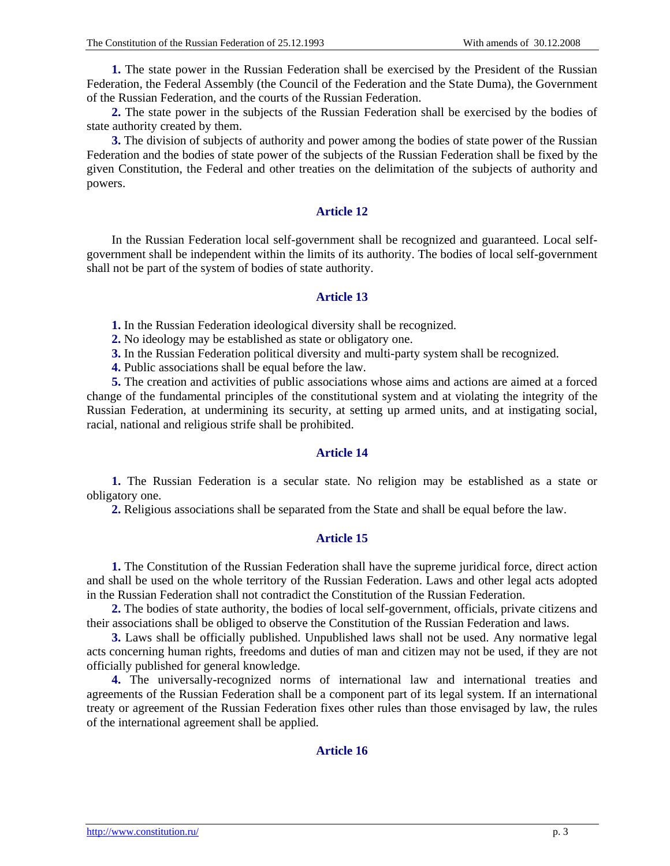**1.** The state power in the Russian Federation shall be exercised by the President of the Russian Federation, the Federal Assembly (the Council of the Federation and the State Duma), the Government of the Russian Federation, and the courts of the Russian Federation.

**2.** The state power in the subjects of the Russian Federation shall be exercised by the bodies of state authority created by them.

**3.** The division of subjects of authority and power among the bodies of state power of the Russian Federation and the bodies of state power of the subjects of the Russian Federation shall be fixed by the given Constitution, the Federal and other treaties on the delimitation of the subjects of authority and powers.

## **Article 12**

In the Russian Federation local self-government shall be recognized and guaranteed. Local selfgovernment shall be independent within the limits of its authority. The bodies of local self-government shall not be part of the system of bodies of state authority.

## **Article 13**

**1.** In the Russian Federation ideological diversity shall be recognized.

**2.** No ideology may be established as state or obligatory one.

**3.** In the Russian Federation political diversity and multi-party system shall be recognized.

**4.** Public associations shall be equal before the law.

**5.** The creation and activities of public associations whose aims and actions are aimed at a forced change of the fundamental principles of the constitutional system and at violating the integrity of the Russian Federation, at undermining its security, at setting up armed units, and at instigating social, racial, national and religious strife shall be prohibited.

## **Article 14**

**1.** The Russian Federation is a secular state. No religion may be established as a state or obligatory one.

**2.** Religious associations shall be separated from the State and shall be equal before the law.

# **Article 15**

**1.** The Constitution of the Russian Federation shall have the supreme juridical force, direct action and shall be used on the whole territory of the Russian Federation. Laws and other legal acts adopted in the Russian Federation shall not contradict the Constitution of the Russian Federation.

**2.** The bodies of state authority, the bodies of local self-government, officials, private citizens and their associations shall be obliged to observe the Constitution of the Russian Federation and laws.

**3.** Laws shall be officially published. Unpublished laws shall not be used. Any normative legal acts concerning human rights, freedoms and duties of man and citizen may not be used, if they are not officially published for general knowledge.

**4.** The universally-recognized norms of international law and international treaties and agreements of the Russian Federation shall be a component part of its legal system. If an international treaty or agreement of the Russian Federation fixes other rules than those envisaged by law, the rules of the international agreement shall be applied.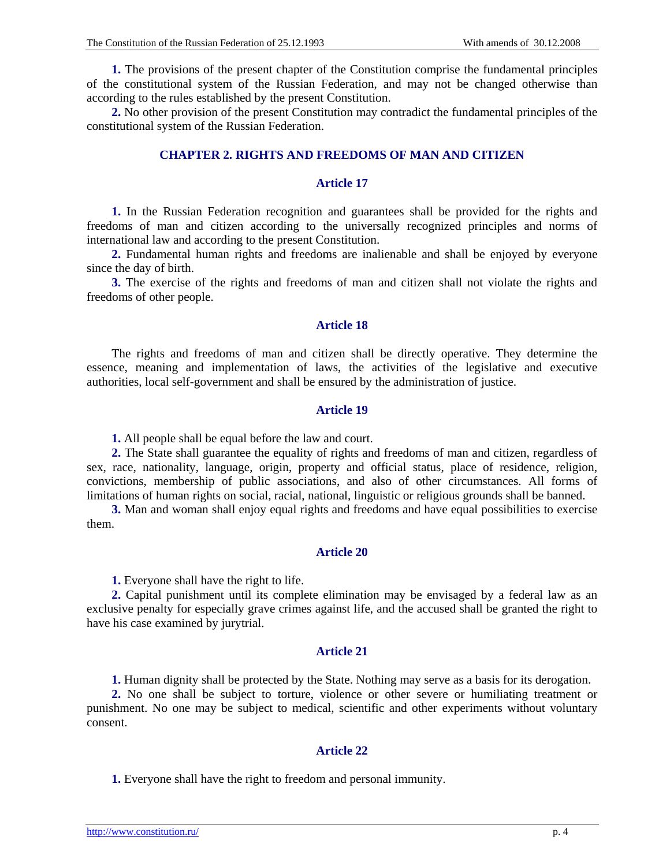**1.** The provisions of the present chapter of the Constitution comprise the fundamental principles of the constitutional system of the Russian Federation, and may not be changed otherwise than according to the rules established by the present Constitution.

**2.** No other provision of the present Constitution may contradict the fundamental principles of the constitutional system of the Russian Federation.

## **CHAPTER 2. RIGHTS AND FREEDOMS OF MAN AND CITIZEN**

### **Article 17**

**1.** In the Russian Federation recognition and guarantees shall be provided for the rights and freedoms of man and citizen according to the universally recognized principles and norms of international law and according to the present Constitution.

**2.** Fundamental human rights and freedoms are inalienable and shall be enjoyed by everyone since the day of birth.

**3.** The exercise of the rights and freedoms of man and citizen shall not violate the rights and freedoms of other people.

### **Article 18**

The rights and freedoms of man and citizen shall be directly operative. They determine the essence, meaning and implementation of laws, the activities of the legislative and executive authorities, local self-government and shall be ensured by the administration of justice.

### **Article 19**

**1.** All people shall be equal before the law and court.

**2.** The State shall guarantee the equality of rights and freedoms of man and citizen, regardless of sex, race, nationality, language, origin, property and official status, place of residence, religion, convictions, membership of public associations, and also of other circumstances. All forms of limitations of human rights on social, racial, national, linguistic or religious grounds shall be banned.

**3.** Man and woman shall enjoy equal rights and freedoms and have equal possibilities to exercise them.

#### **Article 20**

**1.** Everyone shall have the right to life.

**2.** Capital punishment until its complete elimination may be envisaged by a federal law as an exclusive penalty for especially grave crimes against life, and the accused shall be granted the right to have his case examined by jurytrial.

## **Article 21**

**1.** Human dignity shall be protected by the State. Nothing may serve as a basis for its derogation.

**2.** No one shall be subject to torture, violence or other severe or humiliating treatment or punishment. No one may be subject to medical, scientific and other experiments without voluntary consent.

## **Article 22**

**1.** Everyone shall have the right to freedom and personal immunity.

http://www.constitution.ru/ p. 4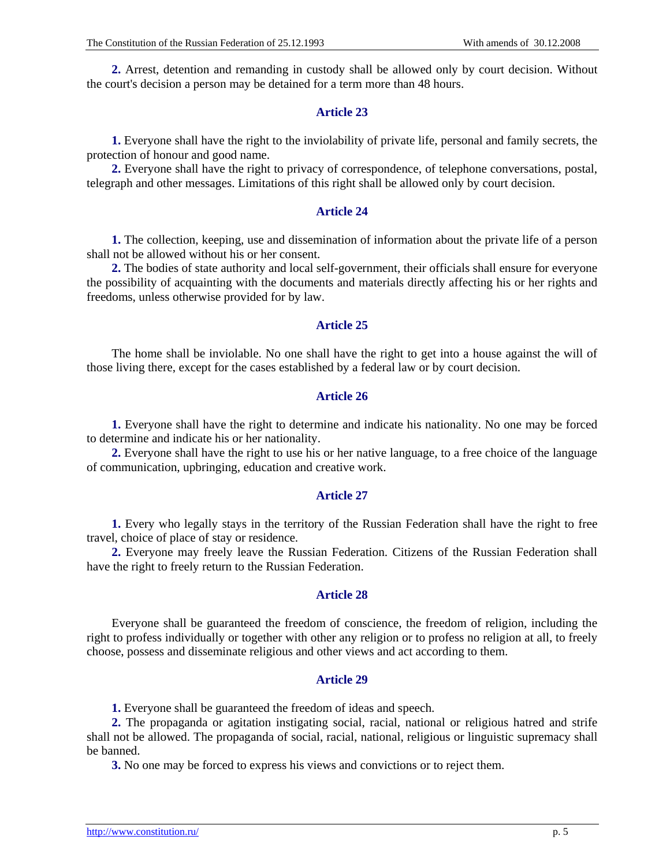**2.** Arrest, detention and remanding in custody shall be allowed only by court decision. Without the court's decision a person may be detained for a term more than 48 hours.

## **Article 23**

**1.** Everyone shall have the right to the inviolability of private life, personal and family secrets, the protection of honour and good name.

**2.** Everyone shall have the right to privacy of correspondence, of telephone conversations, postal, telegraph and other messages. Limitations of this right shall be allowed only by court decision.

## **Article 24**

**1.** The collection, keeping, use and dissemination of information about the private life of a person shall not be allowed without his or her consent.

**2.** The bodies of state authority and local self-government, their officials shall ensure for everyone the possibility of acquainting with the documents and materials directly affecting his or her rights and freedoms, unless otherwise provided for by law.

# **Article 25**

The home shall be inviolable. No one shall have the right to get into a house against the will of those living there, except for the cases established by a federal law or by court decision.

## **Article 26**

**1.** Everyone shall have the right to determine and indicate his nationality. No one may be forced to determine and indicate his or her nationality.

**2.** Everyone shall have the right to use his or her native language, to a free choice of the language of communication, upbringing, education and creative work.

## **Article 27**

**1.** Every who legally stays in the territory of the Russian Federation shall have the right to free travel, choice of place of stay or residence.

**2.** Everyone may freely leave the Russian Federation. Citizens of the Russian Federation shall have the right to freely return to the Russian Federation.

## **Article 28**

Everyone shall be guaranteed the freedom of conscience, the freedom of religion, including the right to profess individually or together with other any religion or to profess no religion at all, to freely choose, possess and disseminate religious and other views and act according to them.

## **Article 29**

**1.** Everyone shall be guaranteed the freedom of ideas and speech.

**2.** The propaganda or agitation instigating social, racial, national or religious hatred and strife shall not be allowed. The propaganda of social, racial, national, religious or linguistic supremacy shall be banned.

**3.** No one may be forced to express his views and convictions or to reject them.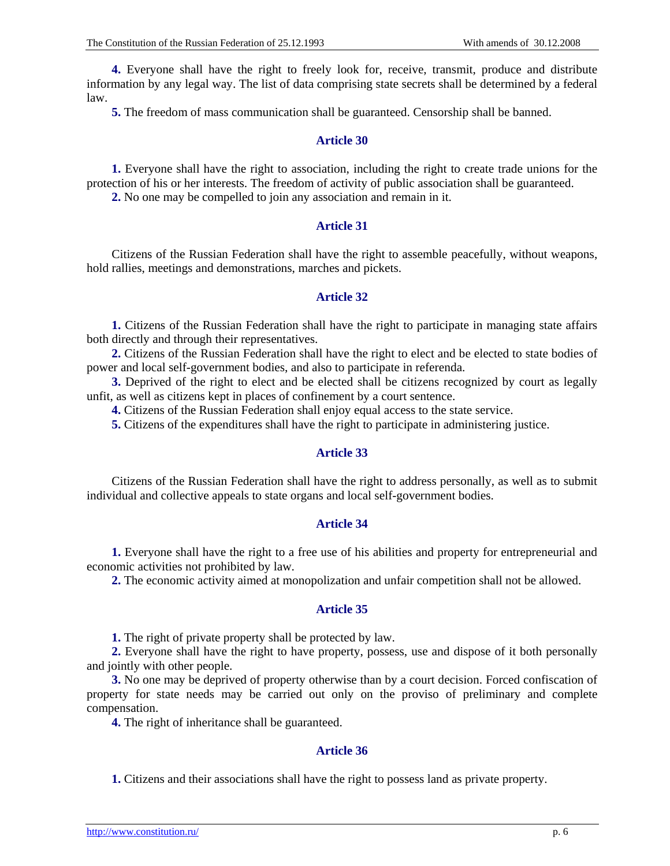**4.** Everyone shall have the right to freely look for, receive, transmit, produce and distribute information by any legal way. The list of data comprising state secrets shall be determined by a federal law.

**5.** The freedom of mass communication shall be guaranteed. Censorship shall be banned.

## **Article 30**

**1.** Everyone shall have the right to association, including the right to create trade unions for the protection of his or her interests. The freedom of activity of public association shall be guaranteed. **2.** No one may be compelled to join any association and remain in it.

**Article 31**

Citizens of the Russian Federation shall have the right to assemble peacefully, without weapons, hold rallies, meetings and demonstrations, marches and pickets.

## **Article 32**

**1.** Citizens of the Russian Federation shall have the right to participate in managing state affairs both directly and through their representatives.

**2.** Citizens of the Russian Federation shall have the right to elect and be elected to state bodies of power and local self-government bodies, and also to participate in referenda.

**3.** Deprived of the right to elect and be elected shall be citizens recognized by court as legally unfit, as well as citizens kept in places of confinement by a court sentence.

**4.** Citizens of the Russian Federation shall enjoy equal access to the state service.

**5.** Citizens of the expenditures shall have the right to participate in administering justice.

## **Article 33**

Citizens of the Russian Federation shall have the right to address personally, as well as to submit individual and collective appeals to state organs and local self-government bodies.

## **Article 34**

**1.** Everyone shall have the right to a free use of his abilities and property for entrepreneurial and economic activities not prohibited by law.

**2.** The economic activity aimed at monopolization and unfair competition shall not be allowed.

## **Article 35**

**1.** The right of private property shall be protected by law.

**2.** Everyone shall have the right to have property, possess, use and dispose of it both personally and jointly with other people.

**3.** No one may be deprived of property otherwise than by a court decision. Forced confiscation of property for state needs may be carried out only on the proviso of preliminary and complete compensation.

**4.** The right of inheritance shall be guaranteed.

## **Article 36**

**1.** Citizens and their associations shall have the right to possess land as private property.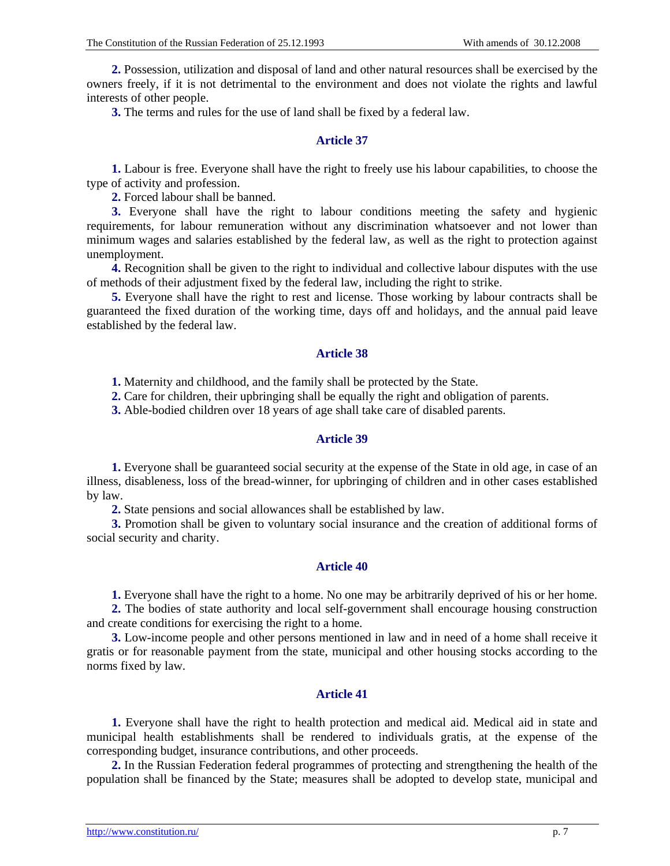**2.** Possession, utilization and disposal of land and other natural resources shall be exercised by the owners freely, if it is not detrimental to the environment and does not violate the rights and lawful interests of other people.

**3.** The terms and rules for the use of land shall be fixed by a federal law.

## **Article 37**

**1.** Labour is free. Everyone shall have the right to freely use his labour capabilities, to choose the type of activity and profession.

**2.** Forced labour shall be banned.

**3.** Everyone shall have the right to labour conditions meeting the safety and hygienic requirements, for labour remuneration without any discrimination whatsoever and not lower than minimum wages and salaries established by the federal law, as well as the right to protection against unemployment.

**4.** Recognition shall be given to the right to individual and collective labour disputes with the use of methods of their adjustment fixed by the federal law, including the right to strike.

**5.** Everyone shall have the right to rest and license. Those working by labour contracts shall be guaranteed the fixed duration of the working time, days off and holidays, and the annual paid leave established by the federal law.

### **Article 38**

**1.** Maternity and childhood, and the family shall be protected by the State.

**2.** Care for children, their upbringing shall be equally the right and obligation of parents.

**3.** Able-bodied children over 18 years of age shall take care of disabled parents.

### **Article 39**

**1.** Everyone shall be guaranteed social security at the expense of the State in old age, in case of an illness, disableness, loss of the bread-winner, for upbringing of children and in other cases established by law.

**2.** State pensions and social allowances shall be established by law.

**3.** Promotion shall be given to voluntary social insurance and the creation of additional forms of social security and charity.

## **Article 40**

**1.** Everyone shall have the right to a home. No one may be arbitrarily deprived of his or her home.

**2.** The bodies of state authority and local self-government shall encourage housing construction and create conditions for exercising the right to a home.

**3.** Low-income people and other persons mentioned in law and in need of a home shall receive it gratis or for reasonable payment from the state, municipal and other housing stocks according to the norms fixed by law.

## **Article 41**

**1.** Everyone shall have the right to health protection and medical aid. Medical aid in state and municipal health establishments shall be rendered to individuals gratis, at the expense of the corresponding budget, insurance contributions, and other proceeds.

**2.** In the Russian Federation federal programmes of protecting and strengthening the health of the population shall be financed by the State; measures shall be adopted to develop state, municipal and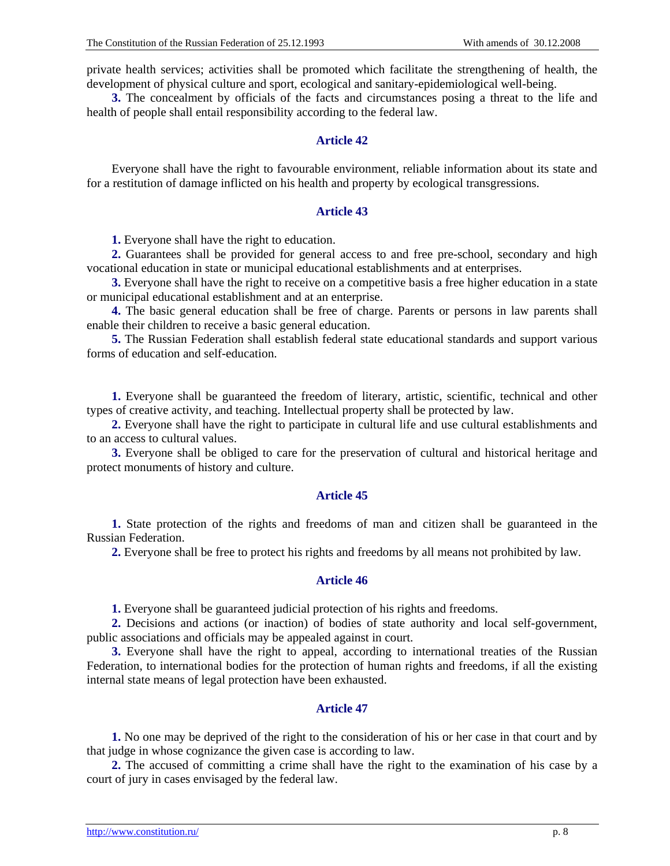private health services; activities shall be promoted which facilitate the strengthening of health, the development of physical culture and sport, ecological and sanitary-epidemiological well-being.

**3.** The concealment by officials of the facts and circumstances posing a threat to the life and health of people shall entail responsibility according to the federal law.

### **Article 42**

Everyone shall have the right to favourable environment, reliable information about its state and for a restitution of damage inflicted on his health and property by ecological transgressions.

### **Article 43**

**1.** Everyone shall have the right to education.

**2.** Guarantees shall be provided for general access to and free pre-school, secondary and high vocational education in state or municipal educational establishments and at enterprises.

**3.** Everyone shall have the right to receive on a competitive basis a free higher education in a state or municipal educational establishment and at an enterprise.

**4.** The basic general education shall be free of charge. Parents or persons in law parents shall enable their children to receive a basic general education.

**5.** The Russian Federation shall establish federal state educational standards and support various forms of education and self-education.

**1.** Everyone shall be guaranteed the freedom of literary, artistic, scientific, technical and other types of creative activity, and teaching. Intellectual property shall be protected by law.

**2.** Everyone shall have the right to participate in cultural life and use cultural establishments and to an access to cultural values.

**3.** Everyone shall be obliged to care for the preservation of cultural and historical heritage and protect monuments of history and culture.

### **Article 45**

**1.** State protection of the rights and freedoms of man and citizen shall be guaranteed in the Russian Federation.

**2.** Everyone shall be free to protect his rights and freedoms by all means not prohibited by law.

#### **Article 46**

**1.** Everyone shall be guaranteed judicial protection of his rights and freedoms.

**2.** Decisions and actions (or inaction) of bodies of state authority and local self-government, public associations and officials may be appealed against in court.

**3.** Everyone shall have the right to appeal, according to international treaties of the Russian Federation, to international bodies for the protection of human rights and freedoms, if all the existing internal state means of legal protection have been exhausted.

#### **Article 47**

**1.** No one may be deprived of the right to the consideration of his or her case in that court and by that judge in whose cognizance the given case is according to law.

**2.** The accused of committing a crime shall have the right to the examination of his case by a court of jury in cases envisaged by the federal law.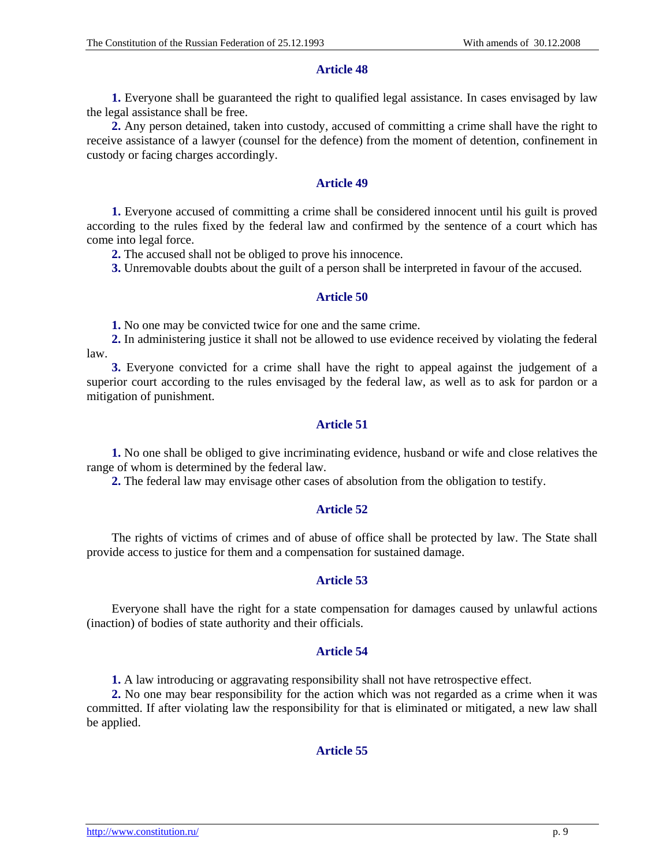### **Article 48**

**1.** Everyone shall be guaranteed the right to qualified legal assistance. In cases envisaged by law the legal assistance shall be free.

**2.** Any person detained, taken into custody, accused of committing a crime shall have the right to receive assistance of a lawyer (counsel for the defence) from the moment of detention, confinement in custody or facing charges accordingly.

### **Article 49**

**1.** Everyone accused of committing a crime shall be considered innocent until his guilt is proved according to the rules fixed by the federal law and confirmed by the sentence of a court which has come into legal force.

**2.** The accused shall not be obliged to prove his innocence.

**3.** Unremovable doubts about the guilt of a person shall be interpreted in favour of the accused.

### **Article 50**

**1.** No one may be convicted twice for one and the same crime.

**2.** In administering justice it shall not be allowed to use evidence received by violating the federal law.

**3.** Everyone convicted for a crime shall have the right to appeal against the judgement of a superior court according to the rules envisaged by the federal law, as well as to ask for pardon or a mitigation of punishment.

### **Article 51**

**1.** No one shall be obliged to give incriminating evidence, husband or wife and close relatives the range of whom is determined by the federal law.

**2.** The federal law may envisage other cases of absolution from the obligation to testify.

#### **Article 52**

The rights of victims of crimes and of abuse of office shall be protected by law. The State shall provide access to justice for them and a compensation for sustained damage.

#### **Article 53**

Everyone shall have the right for a state compensation for damages caused by unlawful actions (inaction) of bodies of state authority and their officials.

## **Article 54**

**1.** A law introducing or aggravating responsibility shall not have retrospective effect.

**2.** No one may bear responsibility for the action which was not regarded as a crime when it was committed. If after violating law the responsibility for that is eliminated or mitigated, a new law shall be applied.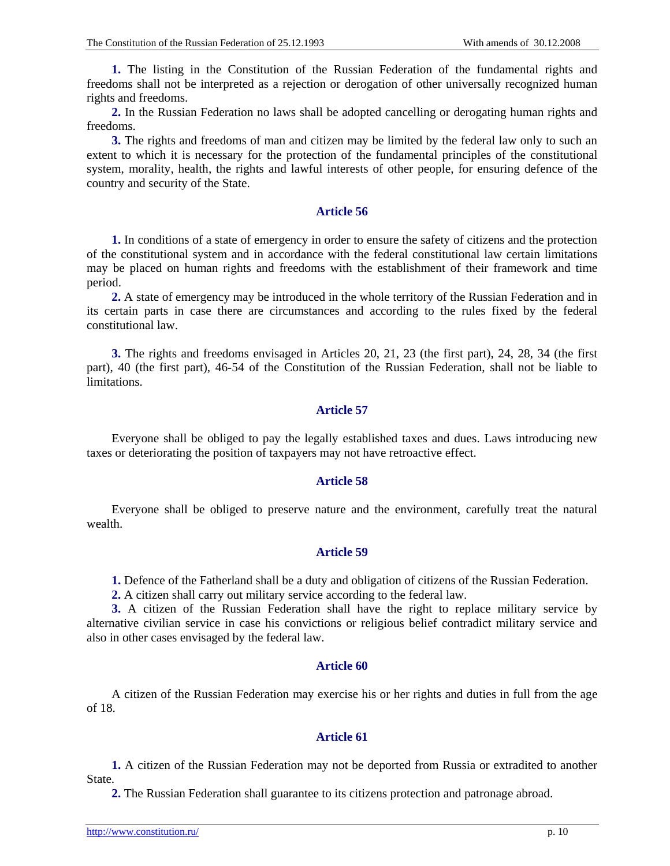**1.** The listing in the Constitution of the Russian Federation of the fundamental rights and freedoms shall not be interpreted as a rejection or derogation of other universally recognized human rights and freedoms.

**2.** In the Russian Federation no laws shall be adopted cancelling or derogating human rights and freedoms.

**3.** The rights and freedoms of man and citizen may be limited by the federal law only to such an extent to which it is necessary for the protection of the fundamental principles of the constitutional system, morality, health, the rights and lawful interests of other people, for ensuring defence of the country and security of the State.

### **Article 56**

**1.** In conditions of a state of emergency in order to ensure the safety of citizens and the protection of the constitutional system and in accordance with the federal constitutional law certain limitations may be placed on human rights and freedoms with the establishment of their framework and time period.

**2.** A state of emergency may be introduced in the whole territory of the Russian Federation and in its certain parts in case there are circumstances and according to the rules fixed by the federal constitutional law.

**3.** The rights and freedoms envisaged in Articles 20, 21, 23 (the first part), 24, 28, 34 (the first part), 40 (the first part), 46-54 of the Constitution of the Russian Federation, shall not be liable to limitations.

## **Article 57**

Everyone shall be obliged to pay the legally established taxes and dues. Laws introducing new taxes or deteriorating the position of taxpayers may not have retroactive effect.

#### **Article 58**

Everyone shall be obliged to preserve nature and the environment, carefully treat the natural wealth.

#### **Article 59**

**1.** Defence of the Fatherland shall be a duty and obligation of citizens of the Russian Federation.

**2.** A citizen shall carry out military service according to the federal law.

**3.** A citizen of the Russian Federation shall have the right to replace military service by alternative civilian service in case his convictions or religious belief contradict military service and also in other cases envisaged by the federal law.

#### **Article 60**

A citizen of the Russian Federation may exercise his or her rights and duties in full from the age of 18.

## **Article 61**

**1.** A citizen of the Russian Federation may not be deported from Russia or extradited to another State.

**2.** The Russian Federation shall guarantee to its citizens protection and patronage abroad.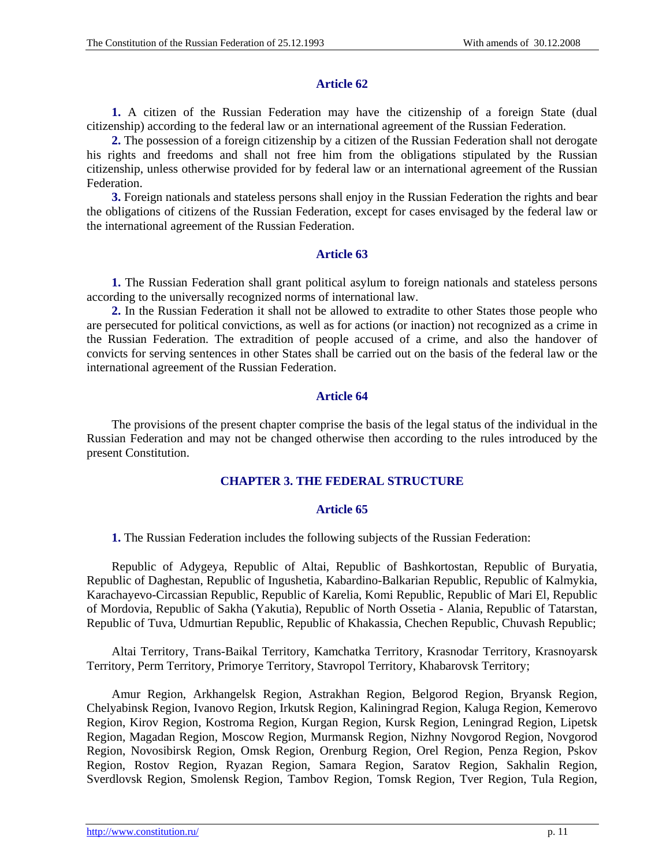# **Article 62**

**1.** A citizen of the Russian Federation may have the citizenship of a foreign State (dual citizenship) according to the federal law or an international agreement of the Russian Federation.

**2.** The possession of a foreign citizenship by a citizen of the Russian Federation shall not derogate his rights and freedoms and shall not free him from the obligations stipulated by the Russian citizenship, unless otherwise provided for by federal law or an international agreement of the Russian Federation.

**3.** Foreign nationals and stateless persons shall enjoy in the Russian Federation the rights and bear the obligations of citizens of the Russian Federation, except for cases envisaged by the federal law or the international agreement of the Russian Federation.

## **Article 63**

**1.** The Russian Federation shall grant political asylum to foreign nationals and stateless persons according to the universally recognized norms of international law.

**2.** In the Russian Federation it shall not be allowed to extradite to other States those people who are persecuted for political convictions, as well as for actions (or inaction) not recognized as a crime in the Russian Federation. The extradition of people accused of a crime, and also the handover of convicts for serving sentences in other States shall be carried out on the basis of the federal law or the international agreement of the Russian Federation.

## **Article 64**

The provisions of the present chapter comprise the basis of the legal status of the individual in the Russian Federation and may not be changed otherwise then according to the rules introduced by the present Constitution.

## **CHAPTER 3. THE FEDERAL STRUCTURE**

## **Article 65**

**1.** The Russian Federation includes the following subjects of the Russian Federation:

Republic of Adygeya, Republic of Altai, Republic of Bashkortostan, Republic of Buryatia, Republic of Daghestan, Republic of Ingushetia, Kabardino-Balkarian Republic, Republic of Kalmykia, Karachayevo-Circassian Republic, Republic of Karelia, Komi Republic, Republic of Mari El, Republic of Mordovia, Republic of Sakha (Yakutia), Republic of North Ossetia - Alania, Republic of Tatarstan, Republic of Tuva, Udmurtian Republic, Republic of Khakassia, Chechen Republic, Chuvash Republic;

Altai Territory, Trans-Baikal Territory, Kamchatka Territory, Krasnodar Territory, Krasnoyarsk Territory, Perm Territory, Primorye Territory, Stavropol Territory, Khabarovsk Territory;

Amur Region, Arkhangelsk Region, Astrakhan Region, Belgorod Region, Bryansk Region, Chelyabinsk Region, Ivanovo Region, Irkutsk Region, Kaliningrad Region, Kaluga Region, Kemerovo Region, Kirov Region, Kostroma Region, Kurgan Region, Kursk Region, Leningrad Region, Lipetsk Region, Magadan Region, Moscow Region, Murmansk Region, Nizhny Novgorod Region, Novgorod Region, Novosibirsk Region, Omsk Region, Orenburg Region, Orel Region, Penza Region, Pskov Region, Rostov Region, Ryazan Region, Samara Region, Saratov Region, Sakhalin Region, Sverdlovsk Region, Smolensk Region, Tambov Region, Tomsk Region, Tver Region, Tula Region,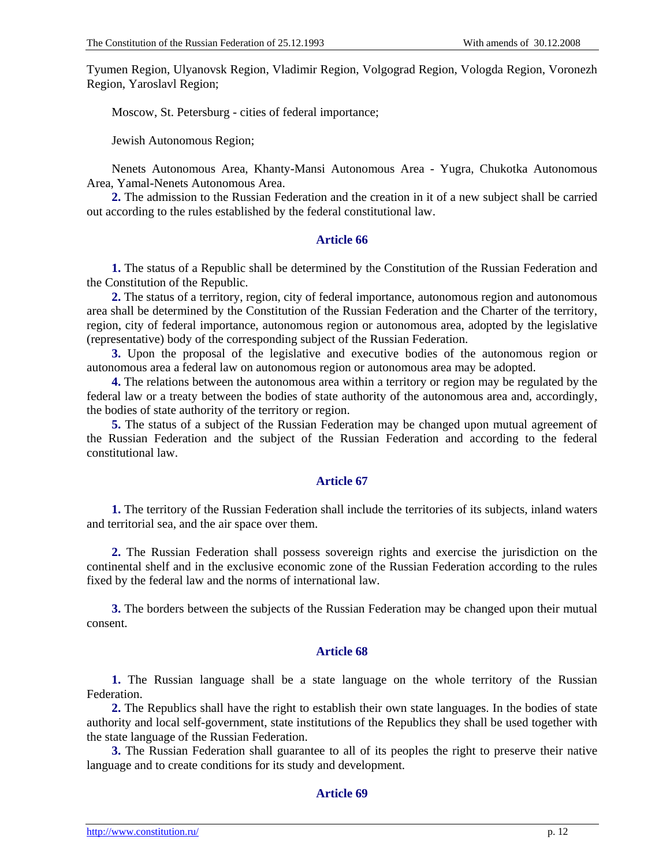Tyumen Region, Ulyanovsk Region, Vladimir Region, Volgograd Region, Vologda Region, Voronezh Region, Yaroslavl Region;

Moscow, St. Petersburg - cities of federal importance;

Jewish Autonomous Region;

Nenets Autonomous Area, Khanty-Mansi Autonomous Area - Yugra, Chukotka Autonomous Area, Yamal-Nenets Autonomous Area.

**2.** The admission to the Russian Federation and the creation in it of a new subject shall be carried out according to the rules established by the federal constitutional law.

## **Article 66**

**1.** The status of a Republic shall be determined by the Constitution of the Russian Federation and the Constitution of the Republic.

**2.** The status of a territory, region, city of federal importance, autonomous region and autonomous area shall be determined by the Constitution of the Russian Federation and the Charter of the territory, region, city of federal importance, autonomous region or autonomous area, adopted by the legislative (representative) body of the corresponding subject of the Russian Federation.

**3.** Upon the proposal of the legislative and executive bodies of the autonomous region or autonomous area a federal law on autonomous region or autonomous area may be adopted.

**4.** The relations between the autonomous area within a territory or region may be regulated by the federal law or a treaty between the bodies of state authority of the autonomous area and, accordingly, the bodies of state authority of the territory or region.

**5.** The status of a subject of the Russian Federation may be changed upon mutual agreement of the Russian Federation and the subject of the Russian Federation and according to the federal constitutional law.

## **Article 67**

**1.** The territory of the Russian Federation shall include the territories of its subjects, inland waters and territorial sea, and the air space over them.

**2.** The Russian Federation shall possess sovereign rights and exercise the jurisdiction on the continental shelf and in the exclusive economic zone of the Russian Federation according to the rules fixed by the federal law and the norms of international law.

**3.** The borders between the subjects of the Russian Federation may be changed upon their mutual consent.

## **Article 68**

**1.** The Russian language shall be a state language on the whole territory of the Russian Federation.

**2.** The Republics shall have the right to establish their own state languages. In the bodies of state authority and local self-government, state institutions of the Republics they shall be used together with the state language of the Russian Federation.

**3.** The Russian Federation shall guarantee to all of its peoples the right to preserve their native language and to create conditions for its study and development.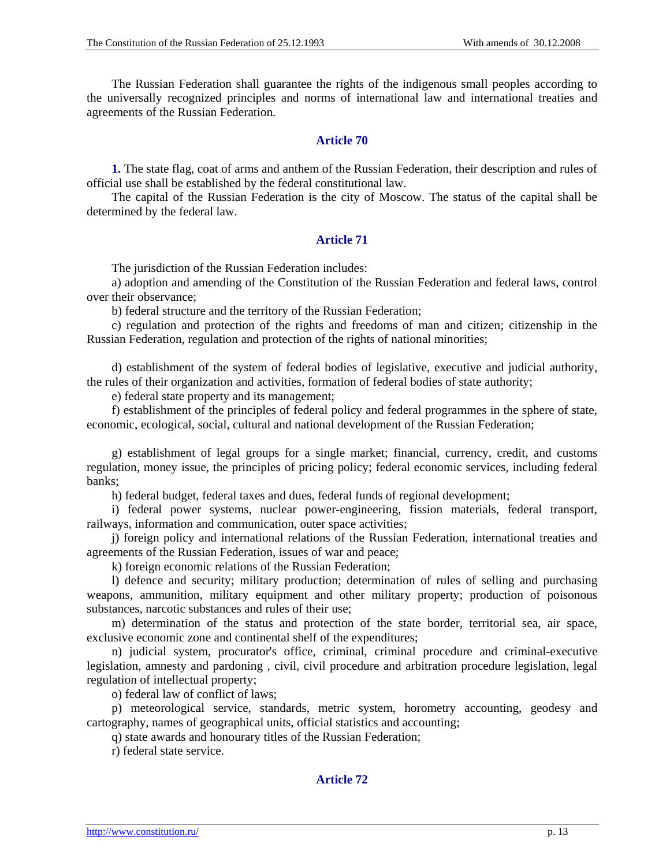The Russian Federation shall guarantee the rights of the indigenous small peoples according to the universally recognized principles and norms of international law and international treaties and agreements of the Russian Federation.

## **Article 70**

**1.** The state flag, coat of arms and anthem of the Russian Federation, their description and rules of official use shall be established by the federal constitutional law.

The capital of the Russian Federation is the city of Moscow. The status of the capital shall be determined by the federal law.

## **Article 71**

The jurisdiction of the Russian Federation includes:

a) adoption and amending of the Constitution of the Russian Federation and federal laws, control over their observance;

b) federal structure and the territory of the Russian Federation;

c) regulation and protection of the rights and freedoms of man and citizen; citizenship in the Russian Federation, regulation and protection of the rights of national minorities;

d) establishment of the system of federal bodies of legislative, executive and judicial authority, the rules of their organization and activities, formation of federal bodies of state authority;

e) federal state property and its management;

f) establishment of the principles of federal policy and federal programmes in the sphere of state, economic, ecological, social, cultural and national development of the Russian Federation;

g) establishment of legal groups for a single market; financial, currency, credit, and customs regulation, money issue, the principles of pricing policy; federal economic services, including federal banks;

h) federal budget, federal taxes and dues, federal funds of regional development;

i) federal power systems, nuclear power-engineering, fission materials, federal transport, railways, information and communication, outer space activities;

j) foreign policy and international relations of the Russian Federation, international treaties and agreements of the Russian Federation, issues of war and peace;

k) foreign economic relations of the Russian Federation;

l) defence and security; military production; determination of rules of selling and purchasing weapons, ammunition, military equipment and other military property; production of poisonous substances, narcotic substances and rules of their use;

m) determination of the status and protection of the state border, territorial sea, air space, exclusive economic zone and continental shelf of the expenditures;

n) judicial system, procurator's office, criminal, criminal procedure and criminal-executive legislation, amnesty and pardoning , civil, civil procedure and arbitration procedure legislation, legal regulation of intellectual property;

o) federal law of conflict of laws;

p) meteorological service, standards, metric system, horometry accounting, geodesy and cartography, names of geographical units, official statistics and accounting;

q) state awards and honourary titles of the Russian Federation;

r) federal state service.

# **Article 72**

http://www.constitution.ru/ p. 13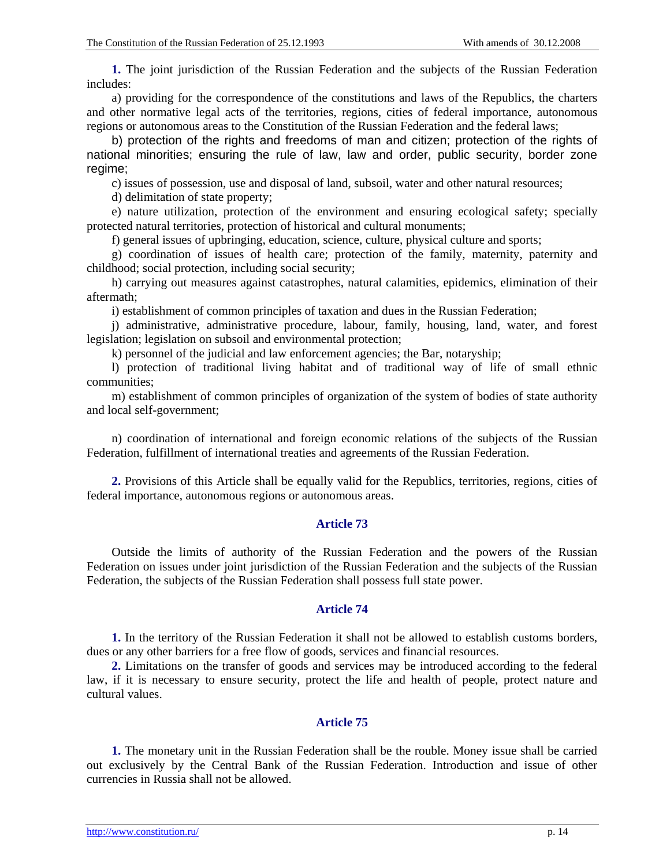**1.** The joint jurisdiction of the Russian Federation and the subjects of the Russian Federation includes:

a) providing for the correspondence of the constitutions and laws of the Republics, the charters and other normative legal acts of the territories, regions, cities of federal importance, autonomous regions or autonomous areas to the Constitution of the Russian Federation and the federal laws;

b) protection of the rights and freedoms of man and citizen; protection of the rights of national minorities; ensuring the rule of law, law and order, public security, border zone regime;

c) issues of possession, use and disposal of land, subsoil, water and other natural resources;

d) delimitation of state property;

e) nature utilization, protection of the environment and ensuring ecological safety; specially protected natural territories, protection of historical and cultural monuments;

f) general issues of upbringing, education, science, culture, physical culture and sports;

g) coordination of issues of health care; protection of the family, maternity, paternity and childhood; social protection, including social security;

h) carrying out measures against catastrophes, natural calamities, epidemics, elimination of their aftermath;

i) establishment of common principles of taxation and dues in the Russian Federation;

j) administrative, administrative procedure, labour, family, housing, land, water, and forest legislation; legislation on subsoil and environmental protection;

k) personnel of the judicial and law enforcement agencies; the Bar, notaryship;

l) protection of traditional living habitat and of traditional way of life of small ethnic communities;

m) establishment of common principles of organization of the system of bodies of state authority and local self-government;

n) coordination of international and foreign economic relations of the subjects of the Russian Federation, fulfillment of international treaties and agreements of the Russian Federation.

**2.** Provisions of this Article shall be equally valid for the Republics, territories, regions, cities of federal importance, autonomous regions or autonomous areas.

## **Article 73**

Outside the limits of authority of the Russian Federation and the powers of the Russian Federation on issues under joint jurisdiction of the Russian Federation and the subjects of the Russian Federation, the subjects of the Russian Federation shall possess full state power.

### **Article 74**

**1.** In the territory of the Russian Federation it shall not be allowed to establish customs borders, dues or any other barriers for a free flow of goods, services and financial resources.

**2.** Limitations on the transfer of goods and services may be introduced according to the federal law, if it is necessary to ensure security, protect the life and health of people, protect nature and cultural values.

## **Article 75**

**1.** The monetary unit in the Russian Federation shall be the rouble. Money issue shall be carried out exclusively by the Central Bank of the Russian Federation. Introduction and issue of other currencies in Russia shall not be allowed.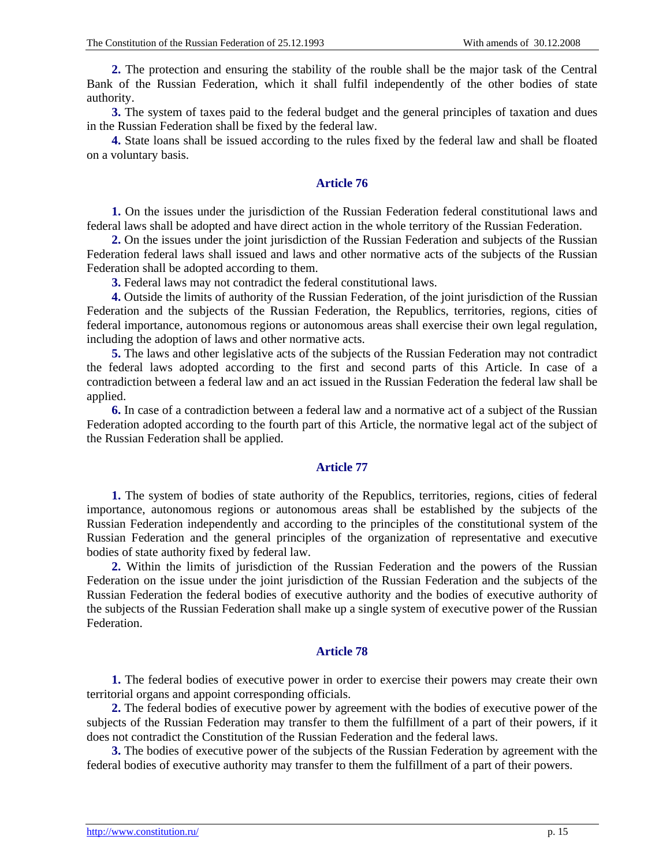**2.** The protection and ensuring the stability of the rouble shall be the major task of the Central Bank of the Russian Federation, which it shall fulfil independently of the other bodies of state authority.

**3.** The system of taxes paid to the federal budget and the general principles of taxation and dues in the Russian Federation shall be fixed by the federal law.

**4.** State loans shall be issued according to the rules fixed by the federal law and shall be floated on a voluntary basis.

### **Article 76**

**1.** On the issues under the jurisdiction of the Russian Federation federal constitutional laws and federal laws shall be adopted and have direct action in the whole territory of the Russian Federation.

**2.** On the issues under the joint jurisdiction of the Russian Federation and subjects of the Russian Federation federal laws shall issued and laws and other normative acts of the subjects of the Russian Federation shall be adopted according to them.

**3.** Federal laws may not contradict the federal constitutional laws.

**4.** Outside the limits of authority of the Russian Federation, of the joint jurisdiction of the Russian Federation and the subjects of the Russian Federation, the Republics, territories, regions, cities of federal importance, autonomous regions or autonomous areas shall exercise their own legal regulation, including the adoption of laws and other normative acts.

**5.** The laws and other legislative acts of the subjects of the Russian Federation may not contradict the federal laws adopted according to the first and second parts of this Article. In case of a contradiction between a federal law and an act issued in the Russian Federation the federal law shall be applied.

**6.** In case of a contradiction between a federal law and a normative act of a subject of the Russian Federation adopted according to the fourth part of this Article, the normative legal act of the subject of the Russian Federation shall be applied.

## **Article 77**

**1.** The system of bodies of state authority of the Republics, territories, regions, cities of federal importance, autonomous regions or autonomous areas shall be established by the subjects of the Russian Federation independently and according to the principles of the constitutional system of the Russian Federation and the general principles of the organization of representative and executive bodies of state authority fixed by federal law.

**2.** Within the limits of jurisdiction of the Russian Federation and the powers of the Russian Federation on the issue under the joint jurisdiction of the Russian Federation and the subjects of the Russian Federation the federal bodies of executive authority and the bodies of executive authority of the subjects of the Russian Federation shall make up a single system of executive power of the Russian Federation.

### **Article 78**

**1.** The federal bodies of executive power in order to exercise their powers may create their own territorial organs and appoint corresponding officials.

**2.** The federal bodies of executive power by agreement with the bodies of executive power of the subjects of the Russian Federation may transfer to them the fulfillment of a part of their powers, if it does not contradict the Constitution of the Russian Federation and the federal laws.

**3.** The bodies of executive power of the subjects of the Russian Federation by agreement with the federal bodies of executive authority may transfer to them the fulfillment of a part of their powers.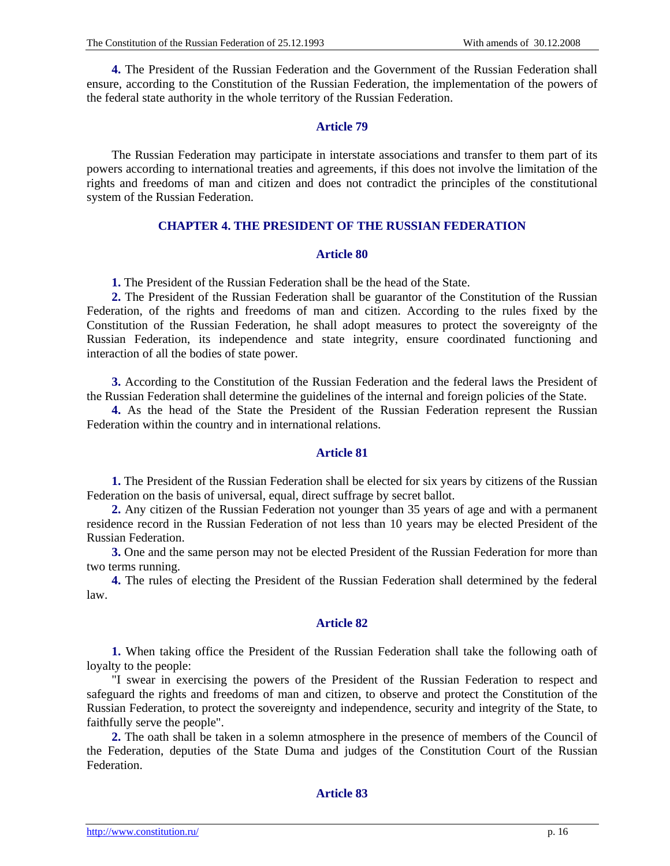**4.** The President of the Russian Federation and the Government of the Russian Federation shall ensure, according to the Constitution of the Russian Federation, the implementation of the powers of the federal state authority in the whole territory of the Russian Federation.

## **Article 79**

The Russian Federation may participate in interstate associations and transfer to them part of its powers according to international treaties and agreements, if this does not involve the limitation of the rights and freedoms of man and citizen and does not contradict the principles of the constitutional system of the Russian Federation.

# **CHAPTER 4. THE PRESIDENT OF THE RUSSIAN FEDERATION**

## **Article 80**

**1.** The President of the Russian Federation shall be the head of the State.

**2.** The President of the Russian Federation shall be guarantor of the Constitution of the Russian Federation, of the rights and freedoms of man and citizen. According to the rules fixed by the Constitution of the Russian Federation, he shall adopt measures to protect the sovereignty of the Russian Federation, its independence and state integrity, ensure coordinated functioning and interaction of all the bodies of state power.

**3.** According to the Constitution of the Russian Federation and the federal laws the President of the Russian Federation shall determine the guidelines of the internal and foreign policies of the State.

**4.** As the head of the State the President of the Russian Federation represent the Russian Federation within the country and in international relations.

## **Article 81**

**1.** The President of the Russian Federation shall be elected for six years by citizens of the Russian Federation on the basis of universal, equal, direct suffrage by secret ballot.

**2.** Any citizen of the Russian Federation not younger than 35 years of age and with a permanent residence record in the Russian Federation of not less than 10 years may be elected President of the Russian Federation.

**3.** One and the same person may not be elected President of the Russian Federation for more than two terms running.

**4.** The rules of electing the President of the Russian Federation shall determined by the federal law.

# **Article 82**

**1.** When taking office the President of the Russian Federation shall take the following oath of loyalty to the people:

"I swear in exercising the powers of the President of the Russian Federation to respect and safeguard the rights and freedoms of man and citizen, to observe and protect the Constitution of the Russian Federation, to protect the sovereignty and independence, security and integrity of the State, to faithfully serve the people".

**2.** The oath shall be taken in a solemn atmosphere in the presence of members of the Council of the Federation, deputies of the State Duma and judges of the Constitution Court of the Russian Federation.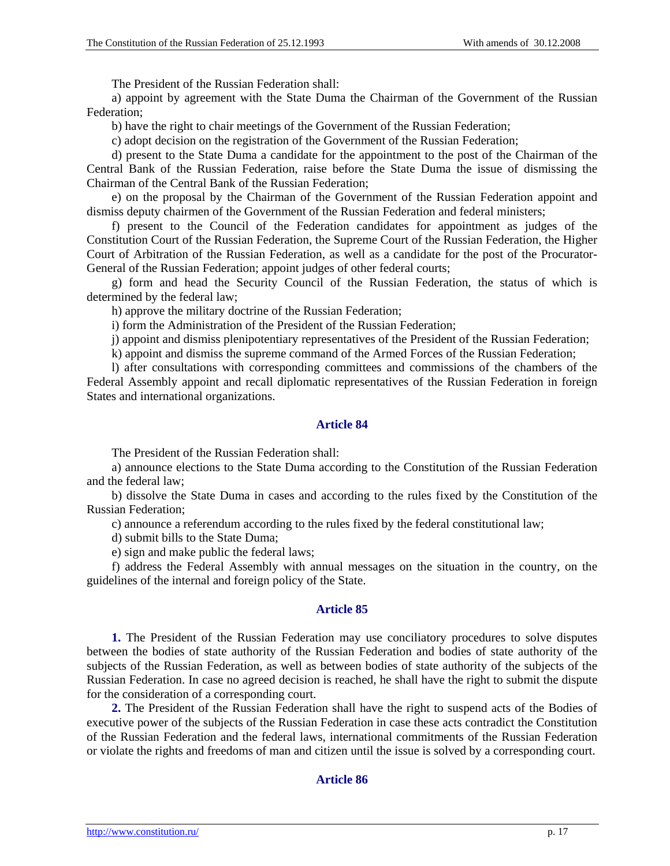The President of the Russian Federation shall:

a) appoint by agreement with the State Duma the Chairman of the Government of the Russian Federation;

b) have the right to chair meetings of the Government of the Russian Federation;

c) adopt decision on the registration of the Government of the Russian Federation;

d) present to the State Duma a candidate for the appointment to the post of the Chairman of the Central Bank of the Russian Federation, raise before the State Duma the issue of dismissing the Chairman of the Central Bank of the Russian Federation;

e) on the proposal by the Chairman of the Government of the Russian Federation appoint and dismiss deputy chairmen of the Government of the Russian Federation and federal ministers;

f) present to the Council of the Federation candidates for appointment as judges of the Constitution Court of the Russian Federation, the Supreme Court of the Russian Federation, the Higher Court of Arbitration of the Russian Federation, as well as a candidate for the post of the Procurator-General of the Russian Federation; appoint judges of other federal courts;

g) form and head the Security Council of the Russian Federation, the status of which is determined by the federal law;

h) approve the military doctrine of the Russian Federation;

i) form the Administration of the President of the Russian Federation;

j) appoint and dismiss plenipotentiary representatives of the President of the Russian Federation;

k) appoint and dismiss the supreme command of the Armed Forces of the Russian Federation;

l) after consultations with corresponding committees and commissions of the chambers of the Federal Assembly appoint and recall diplomatic representatives of the Russian Federation in foreign States and international organizations.

### **Article 84**

The President of the Russian Federation shall:

a) announce elections to the State Duma according to the Constitution of the Russian Federation and the federal law;

b) dissolve the State Duma in cases and according to the rules fixed by the Constitution of the Russian Federation;

c) announce a referendum according to the rules fixed by the federal constitutional law;

d) submit bills to the State Duma;

e) sign and make public the federal laws;

f) address the Federal Assembly with annual messages on the situation in the country, on the guidelines of the internal and foreign policy of the State.

#### **Article 85**

**1.** The President of the Russian Federation may use conciliatory procedures to solve disputes between the bodies of state authority of the Russian Federation and bodies of state authority of the subjects of the Russian Federation, as well as between bodies of state authority of the subjects of the Russian Federation. In case no agreed decision is reached, he shall have the right to submit the dispute for the consideration of a corresponding court.

**2.** The President of the Russian Federation shall have the right to suspend acts of the Bodies of executive power of the subjects of the Russian Federation in case these acts contradict the Constitution of the Russian Federation and the federal laws, international commitments of the Russian Federation or violate the rights and freedoms of man and citizen until the issue is solved by a corresponding court.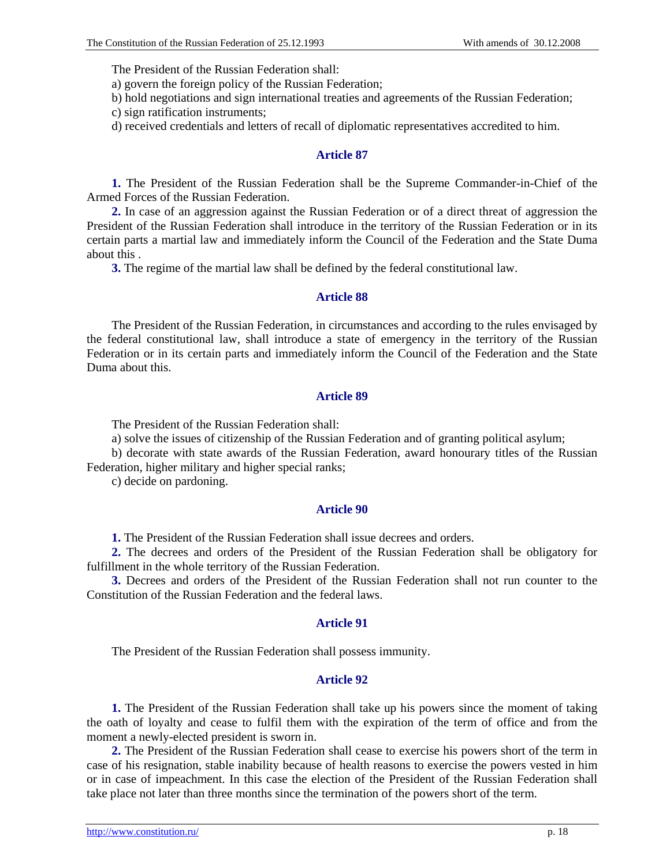The President of the Russian Federation shall:

a) govern the foreign policy of the Russian Federation;

b) hold negotiations and sign international treaties and agreements of the Russian Federation;

c) sign ratification instruments;

d) received credentials and letters of recall of diplomatic representatives accredited to him.

## **Article 87**

**1.** The President of the Russian Federation shall be the Supreme Commander-in-Chief of the Armed Forces of the Russian Federation.

**2.** In case of an aggression against the Russian Federation or of a direct threat of aggression the President of the Russian Federation shall introduce in the territory of the Russian Federation or in its certain parts a martial law and immediately inform the Council of the Federation and the State Duma about this .

**3.** The regime of the martial law shall be defined by the federal constitutional law.

## **Article 88**

The President of the Russian Federation, in circumstances and according to the rules envisaged by the federal constitutional law, shall introduce a state of emergency in the territory of the Russian Federation or in its certain parts and immediately inform the Council of the Federation and the State Duma about this.

## **Article 89**

The President of the Russian Federation shall:

a) solve the issues of citizenship of the Russian Federation and of granting political asylum;

b) decorate with state awards of the Russian Federation, award honourary titles of the Russian Federation, higher military and higher special ranks;

c) decide on pardoning.

## **Article 90**

**1.** The President of the Russian Federation shall issue decrees and orders.

**2.** The decrees and orders of the President of the Russian Federation shall be obligatory for fulfillment in the whole territory of the Russian Federation.

**3.** Decrees and orders of the President of the Russian Federation shall not run counter to the Constitution of the Russian Federation and the federal laws.

## **Article 91**

The President of the Russian Federation shall possess immunity.

## **Article 92**

**1.** The President of the Russian Federation shall take up his powers since the moment of taking the oath of loyalty and cease to fulfil them with the expiration of the term of office and from the moment a newly-elected president is sworn in.

**2.** The President of the Russian Federation shall cease to exercise his powers short of the term in case of his resignation, stable inability because of health reasons to exercise the powers vested in him or in case of impeachment. In this case the election of the President of the Russian Federation shall take place not later than three months since the termination of the powers short of the term.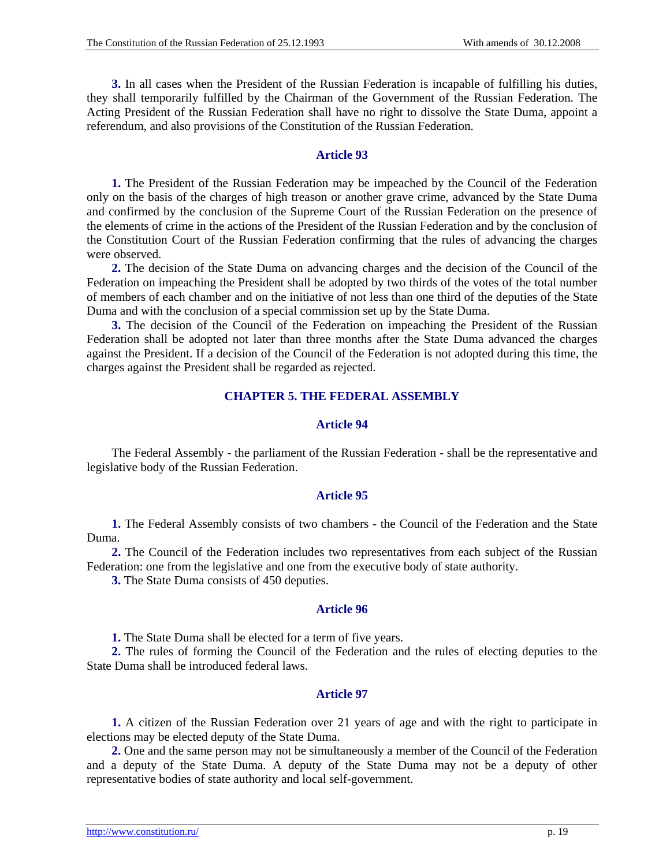**3.** In all cases when the President of the Russian Federation is incapable of fulfilling his duties, they shall temporarily fulfilled by the Chairman of the Government of the Russian Federation. The Acting President of the Russian Federation shall have no right to dissolve the State Duma, appoint a referendum, and also provisions of the Constitution of the Russian Federation.

## **Article 93**

**1.** The President of the Russian Federation may be impeached by the Council of the Federation only on the basis of the charges of high treason or another grave crime, advanced by the State Duma and confirmed by the conclusion of the Supreme Court of the Russian Federation on the presence of the elements of crime in the actions of the President of the Russian Federation and by the conclusion of the Constitution Court of the Russian Federation confirming that the rules of advancing the charges were observed.

**2.** The decision of the State Duma on advancing charges and the decision of the Council of the Federation on impeaching the President shall be adopted by two thirds of the votes of the total number of members of each chamber and on the initiative of not less than one third of the deputies of the State Duma and with the conclusion of a special commission set up by the State Duma.

**3.** The decision of the Council of the Federation on impeaching the President of the Russian Federation shall be adopted not later than three months after the State Duma advanced the charges against the President. If a decision of the Council of the Federation is not adopted during this time, the charges against the President shall be regarded as rejected.

## **CHAPTER 5. THE FEDERAL ASSEMBLY**

## **Article 94**

The Federal Assembly - the parliament of the Russian Federation - shall be the representative and legislative body of the Russian Federation.

## **Article 95**

**1.** The Federal Assembly consists of two chambers - the Council of the Federation and the State Duma.

**2.** The Council of the Federation includes two representatives from each subject of the Russian Federation: one from the legislative and one from the executive body of state authority.

**3.** The State Duma consists of 450 deputies.

## **Article 96**

**1.** The State Duma shall be elected for a term of five years.

**2.** The rules of forming the Council of the Federation and the rules of electing deputies to the State Duma shall be introduced federal laws.

## **Article 97**

**1.** A citizen of the Russian Federation over 21 years of age and with the right to participate in elections may be elected deputy of the State Duma.

**2.** One and the same person may not be simultaneously a member of the Council of the Federation and a deputy of the State Duma. A deputy of the State Duma may not be a deputy of other representative bodies of state authority and local self-government.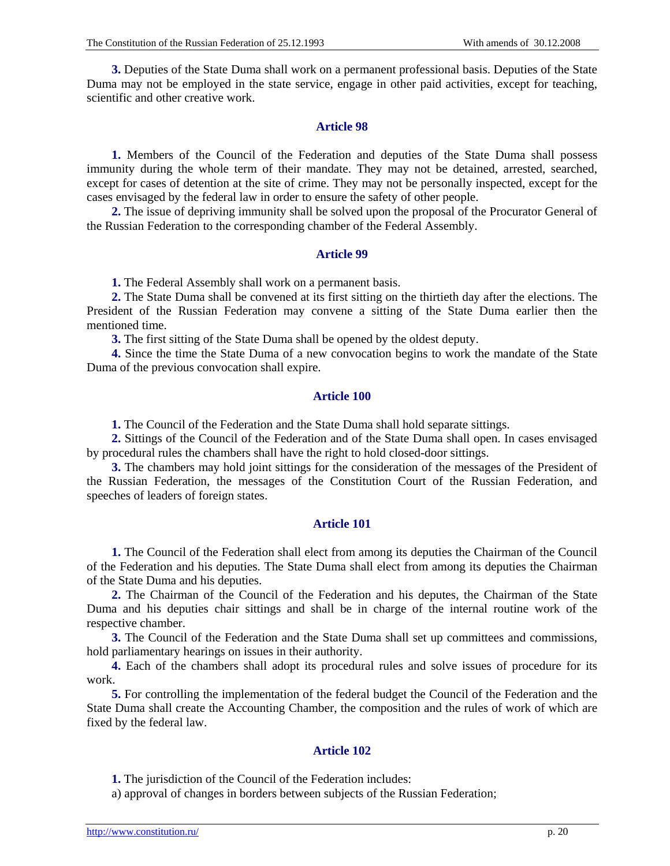**3.** Deputies of the State Duma shall work on a permanent professional basis. Deputies of the State Duma may not be employed in the state service, engage in other paid activities, except for teaching, scientific and other creative work.

## **Article 98**

**1.** Members of the Council of the Federation and deputies of the State Duma shall possess immunity during the whole term of their mandate. They may not be detained, arrested, searched, except for cases of detention at the site of crime. They may not be personally inspected, except for the cases envisaged by the federal law in order to ensure the safety of other people.

**2.** The issue of depriving immunity shall be solved upon the proposal of the Procurator General of the Russian Federation to the corresponding chamber of the Federal Assembly.

## **Article 99**

**1.** The Federal Assembly shall work on a permanent basis.

**2.** The State Duma shall be convened at its first sitting on the thirtieth day after the elections. The President of the Russian Federation may convene a sitting of the State Duma earlier then the mentioned time.

**3.** The first sitting of the State Duma shall be opened by the oldest deputy.

**4.** Since the time the State Duma of a new convocation begins to work the mandate of the State Duma of the previous convocation shall expire.

## **Article 100**

**1.** The Council of the Federation and the State Duma shall hold separate sittings.

**2.** Sittings of the Council of the Federation and of the State Duma shall open. In cases envisaged by procedural rules the chambers shall have the right to hold closed-door sittings.

**3.** The chambers may hold joint sittings for the consideration of the messages of the President of the Russian Federation, the messages of the Constitution Court of the Russian Federation, and speeches of leaders of foreign states.

## **Article 101**

**1.** The Council of the Federation shall elect from among its deputies the Chairman of the Council of the Federation and his deputies. The State Duma shall elect from among its deputies the Chairman of the State Duma and his deputies.

**2.** The Chairman of the Council of the Federation and his deputes, the Chairman of the State Duma and his deputies chair sittings and shall be in charge of the internal routine work of the respective chamber.

**3.** The Council of the Federation and the State Duma shall set up committees and commissions, hold parliamentary hearings on issues in their authority.

**4.** Each of the chambers shall adopt its procedural rules and solve issues of procedure for its work.

**5.** For controlling the implementation of the federal budget the Council of the Federation and the State Duma shall create the Accounting Chamber, the composition and the rules of work of which are fixed by the federal law.

# **Article 102**

**1.** The jurisdiction of the Council of the Federation includes:

a) approval of changes in borders between subjects of the Russian Federation;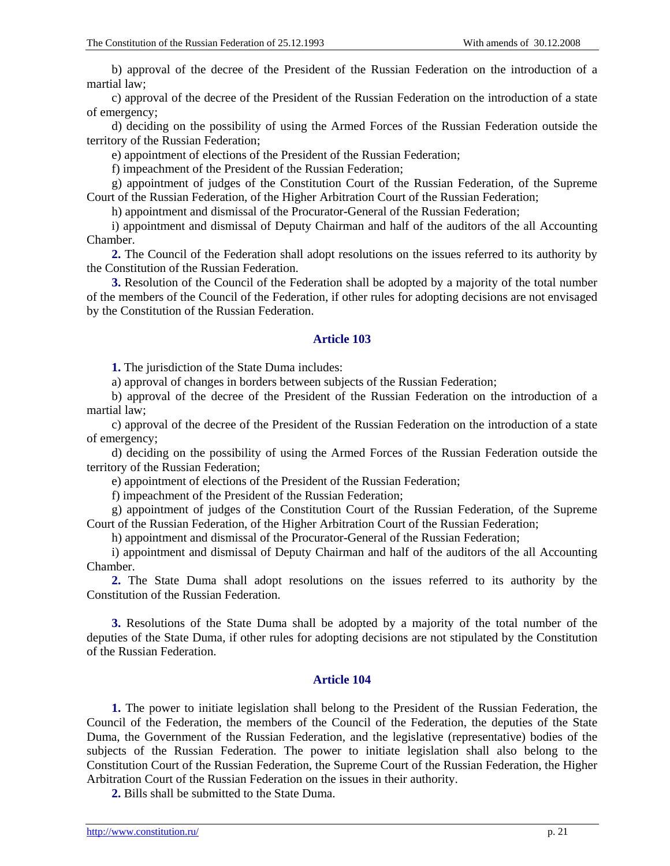b) approval of the decree of the President of the Russian Federation on the introduction of a martial law;

c) approval of the decree of the President of the Russian Federation on the introduction of a state of emergency;

d) deciding on the possibility of using the Armed Forces of the Russian Federation outside the territory of the Russian Federation;

e) appointment of elections of the President of the Russian Federation;

f) impeachment of the President of the Russian Federation;

g) appointment of judges of the Constitution Court of the Russian Federation, of the Supreme Court of the Russian Federation, of the Higher Arbitration Court of the Russian Federation;

h) appointment and dismissal of the Procurator-General of the Russian Federation;

i) appointment and dismissal of Deputy Chairman and half of the auditors of the all Accounting Chamber.

**2.** The Council of the Federation shall adopt resolutions on the issues referred to its authority by the Constitution of the Russian Federation.

**3.** Resolution of the Council of the Federation shall be adopted by a majority of the total number of the members of the Council of the Federation, if other rules for adopting decisions are not envisaged by the Constitution of the Russian Federation.

## **Article 103**

**1.** The jurisdiction of the State Duma includes:

a) approval of changes in borders between subjects of the Russian Federation;

b) approval of the decree of the President of the Russian Federation on the introduction of a martial law;

c) approval of the decree of the President of the Russian Federation on the introduction of a state of emergency;

d) deciding on the possibility of using the Armed Forces of the Russian Federation outside the territory of the Russian Federation;

e) appointment of elections of the President of the Russian Federation;

f) impeachment of the President of the Russian Federation;

g) appointment of judges of the Constitution Court of the Russian Federation, of the Supreme Court of the Russian Federation, of the Higher Arbitration Court of the Russian Federation;

h) appointment and dismissal of the Procurator-General of the Russian Federation;

i) appointment and dismissal of Deputy Chairman and half of the auditors of the all Accounting Chamber.

**2.** The State Duma shall adopt resolutions on the issues referred to its authority by the Constitution of the Russian Federation.

**3.** Resolutions of the State Duma shall be adopted by a majority of the total number of the deputies of the State Duma, if other rules for adopting decisions are not stipulated by the Constitution of the Russian Federation.

## **Article 104**

**1.** The power to initiate legislation shall belong to the President of the Russian Federation, the Council of the Federation, the members of the Council of the Federation, the deputies of the State Duma, the Government of the Russian Federation, and the legislative (representative) bodies of the subjects of the Russian Federation. The power to initiate legislation shall also belong to the Constitution Court of the Russian Federation, the Supreme Court of the Russian Federation, the Higher Arbitration Court of the Russian Federation on the issues in their authority.

**2.** Bills shall be submitted to the State Duma.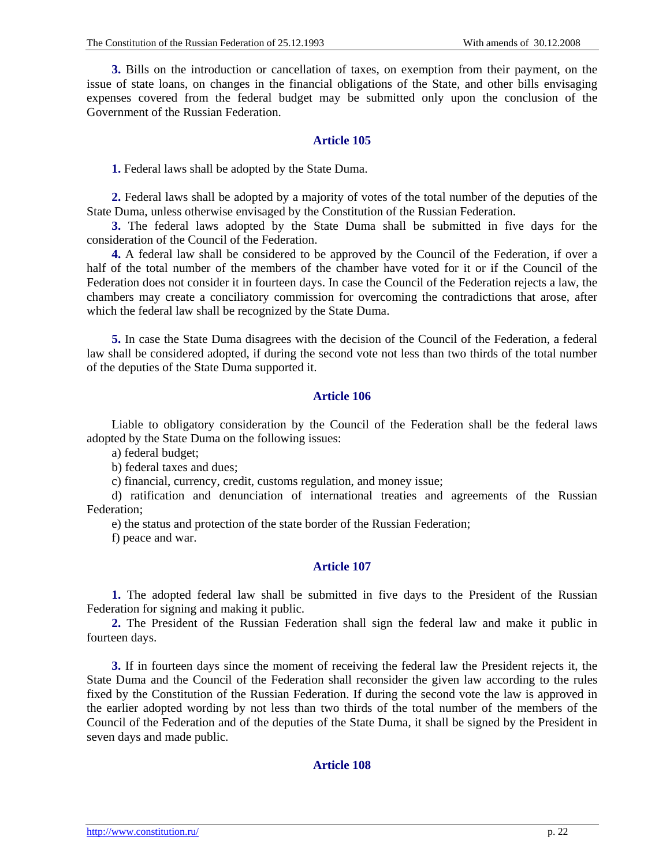**3.** Bills on the introduction or cancellation of taxes, on exemption from their payment, on the issue of state loans, on changes in the financial obligations of the State, and other bills envisaging expenses covered from the federal budget may be submitted only upon the conclusion of the Government of the Russian Federation.

## **Article 105**

**1.** Federal laws shall be adopted by the State Duma.

**2.** Federal laws shall be adopted by a majority of votes of the total number of the deputies of the State Duma, unless otherwise envisaged by the Constitution of the Russian Federation.

**3.** The federal laws adopted by the State Duma shall be submitted in five days for the consideration of the Council of the Federation.

**4.** A federal law shall be considered to be approved by the Council of the Federation, if over a half of the total number of the members of the chamber have voted for it or if the Council of the Federation does not consider it in fourteen days. In case the Council of the Federation rejects a law, the chambers may create a conciliatory commission for overcoming the contradictions that arose, after which the federal law shall be recognized by the State Duma.

**5.** In case the State Duma disagrees with the decision of the Council of the Federation, a federal law shall be considered adopted, if during the second vote not less than two thirds of the total number of the deputies of the State Duma supported it.

## **Article 106**

Liable to obligatory consideration by the Council of the Federation shall be the federal laws adopted by the State Duma on the following issues:

a) federal budget;

b) federal taxes and dues;

c) financial, currency, credit, customs regulation, and money issue;

d) ratification and denunciation of international treaties and agreements of the Russian Federation;

e) the status and protection of the state border of the Russian Federation;

f) peace and war.

## **Article 107**

**1.** The adopted federal law shall be submitted in five days to the President of the Russian Federation for signing and making it public.

**2.** The President of the Russian Federation shall sign the federal law and make it public in fourteen days.

**3.** If in fourteen days since the moment of receiving the federal law the President rejects it, the State Duma and the Council of the Federation shall reconsider the given law according to the rules fixed by the Constitution of the Russian Federation. If during the second vote the law is approved in the earlier adopted wording by not less than two thirds of the total number of the members of the Council of the Federation and of the deputies of the State Duma, it shall be signed by the President in seven days and made public.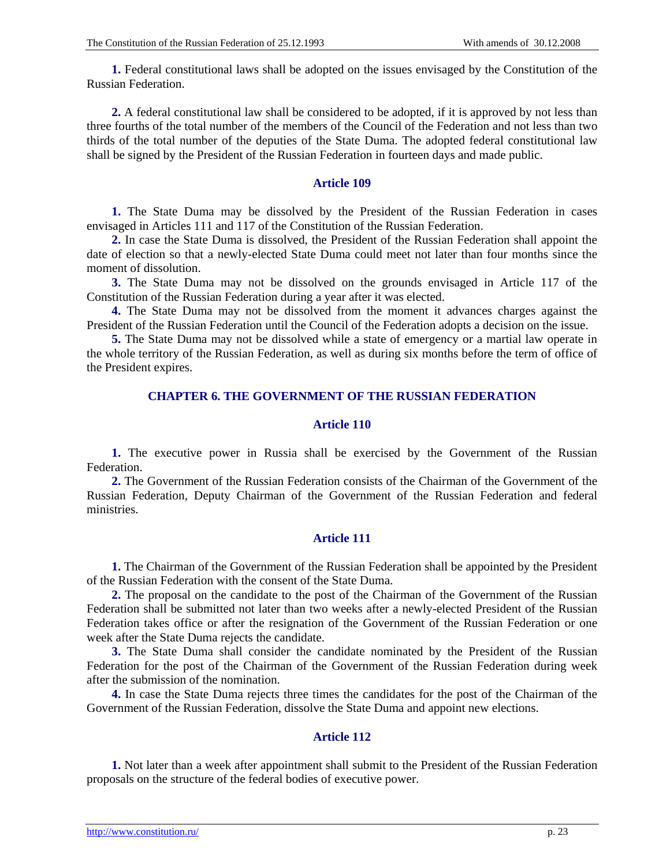**1.** Federal constitutional laws shall be adopted on the issues envisaged by the Constitution of the Russian Federation.

**2.** A federal constitutional law shall be considered to be adopted, if it is approved by not less than three fourths of the total number of the members of the Council of the Federation and not less than two thirds of the total number of the deputies of the State Duma. The adopted federal constitutional law shall be signed by the President of the Russian Federation in fourteen days and made public.

## **Article 109**

**1.** The State Duma may be dissolved by the President of the Russian Federation in cases envisaged in Articles 111 and 117 of the Constitution of the Russian Federation.

**2.** In case the State Duma is dissolved, the President of the Russian Federation shall appoint the date of election so that a newly-elected State Duma could meet not later than four months since the moment of dissolution.

**3.** The State Duma may not be dissolved on the grounds envisaged in Article 117 of the Constitution of the Russian Federation during a year after it was elected.

**4.** The State Duma may not be dissolved from the moment it advances charges against the President of the Russian Federation until the Council of the Federation adopts a decision on the issue.

**5.** The State Duma may not be dissolved while a state of emergency or a martial law operate in the whole territory of the Russian Federation, as well as during six months before the term of office of the President expires.

# **CHAPTER 6. THE GOVERNMENT OF THE RUSSIAN FEDERATION**

## **Article 110**

**1.** The executive power in Russia shall be exercised by the Government of the Russian Federation.

**2.** The Government of the Russian Federation consists of the Chairman of the Government of the Russian Federation, Deputy Chairman of the Government of the Russian Federation and federal ministries.

# **Article 111**

**1.** The Chairman of the Government of the Russian Federation shall be appointed by the President of the Russian Federation with the consent of the State Duma.

**2.** The proposal on the candidate to the post of the Chairman of the Government of the Russian Federation shall be submitted not later than two weeks after a newly-elected President of the Russian Federation takes office or after the resignation of the Government of the Russian Federation or one week after the State Duma rejects the candidate.

**3.** The State Duma shall consider the candidate nominated by the President of the Russian Federation for the post of the Chairman of the Government of the Russian Federation during week after the submission of the nomination.

**4.** In case the State Duma rejects three times the candidates for the post of the Chairman of the Government of the Russian Federation, dissolve the State Duma and appoint new elections.

# **Article 112**

**1.** Not later than a week after appointment shall submit to the President of the Russian Federation proposals on the structure of the federal bodies of executive power.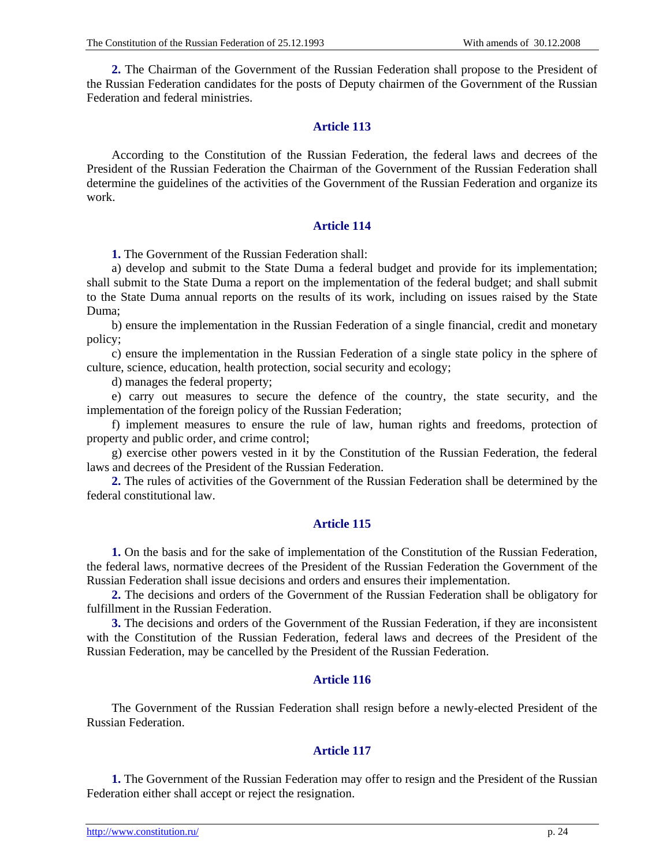**2.** The Chairman of the Government of the Russian Federation shall propose to the President of the Russian Federation candidates for the posts of Deputy chairmen of the Government of the Russian Federation and federal ministries.

## **Article 113**

According to the Constitution of the Russian Federation, the federal laws and decrees of the President of the Russian Federation the Chairman of the Government of the Russian Federation shall determine the guidelines of the activities of the Government of the Russian Federation and organize its work.

# **Article 114**

**1.** The Government of the Russian Federation shall:

a) develop and submit to the State Duma a federal budget and provide for its implementation; shall submit to the State Duma a report on the implementation of the federal budget; and shall submit to the State Duma annual reports on the results of its work, including on issues raised by the State Duma;

b) ensure the implementation in the Russian Federation of a single financial, credit and monetary policy;

c) ensure the implementation in the Russian Federation of a single state policy in the sphere of culture, science, education, health protection, social security and ecology;

d) manages the federal property;

e) carry out measures to secure the defence of the country, the state security, and the implementation of the foreign policy of the Russian Federation;

f) implement measures to ensure the rule of law, human rights and freedoms, protection of property and public order, and crime control;

g) exercise other powers vested in it by the Constitution of the Russian Federation, the federal laws and decrees of the President of the Russian Federation.

**2.** The rules of activities of the Government of the Russian Federation shall be determined by the federal constitutional law.

## **Article 115**

**1.** On the basis and for the sake of implementation of the Constitution of the Russian Federation, the federal laws, normative decrees of the President of the Russian Federation the Government of the Russian Federation shall issue decisions and orders and ensures their implementation.

**2.** The decisions and orders of the Government of the Russian Federation shall be obligatory for fulfillment in the Russian Federation.

**3.** The decisions and orders of the Government of the Russian Federation, if they are inconsistent with the Constitution of the Russian Federation, federal laws and decrees of the President of the Russian Federation, may be cancelled by the President of the Russian Federation.

# **Article 116**

The Government of the Russian Federation shall resign before a newly-elected President of the Russian Federation.

# **Article 117**

**1.** The Government of the Russian Federation may offer to resign and the President of the Russian Federation either shall accept or reject the resignation.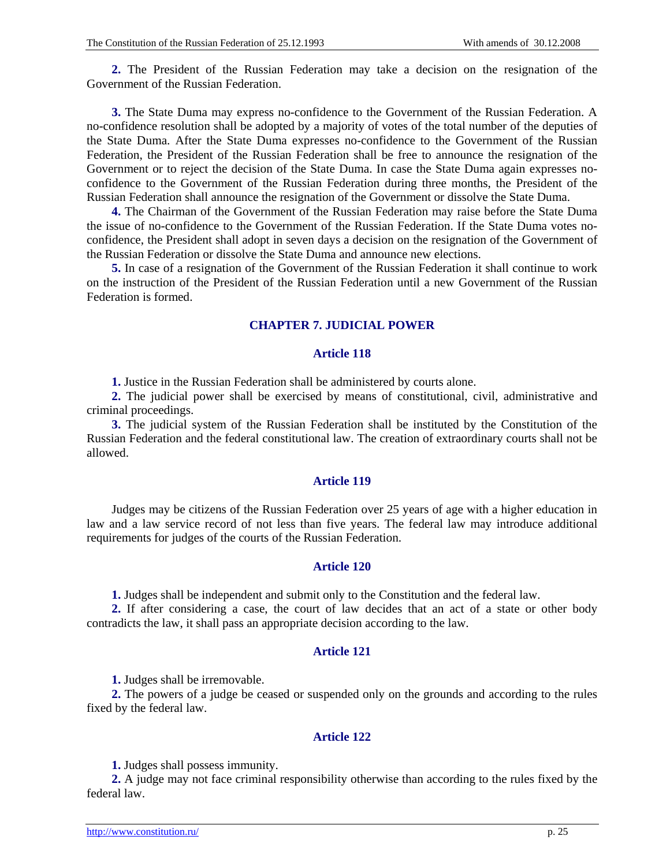**2.** The President of the Russian Federation may take a decision on the resignation of the Government of the Russian Federation.

**3.** The State Duma may express no-confidence to the Government of the Russian Federation. A no-confidence resolution shall be adopted by a majority of votes of the total number of the deputies of the State Duma. After the State Duma expresses no-confidence to the Government of the Russian Federation, the President of the Russian Federation shall be free to announce the resignation of the Government or to reject the decision of the State Duma. In case the State Duma again expresses noconfidence to the Government of the Russian Federation during three months, the President of the Russian Federation shall announce the resignation of the Government or dissolve the State Duma.

**4.** The Chairman of the Government of the Russian Federation may raise before the State Duma the issue of no-confidence to the Government of the Russian Federation. If the State Duma votes noconfidence, the President shall adopt in seven days a decision on the resignation of the Government of the Russian Federation or dissolve the State Duma and announce new elections.

**5.** In case of a resignation of the Government of the Russian Federation it shall continue to work on the instruction of the President of the Russian Federation until a new Government of the Russian Federation is formed.

## **CHAPTER 7. JUDICIAL POWER**

### **Article 118**

**1.** Justice in the Russian Federation shall be administered by courts alone.

**2.** The judicial power shall be exercised by means of constitutional, civil, administrative and criminal proceedings.

**3.** The judicial system of the Russian Federation shall be instituted by the Constitution of the Russian Federation and the federal constitutional law. The creation of extraordinary courts shall not be allowed.

## **Article 119**

Judges may be citizens of the Russian Federation over 25 years of age with a higher education in law and a law service record of not less than five years. The federal law may introduce additional requirements for judges of the courts of the Russian Federation.

## **Article 120**

**1.** Judges shall be independent and submit only to the Constitution and the federal law.

**2.** If after considering a case, the court of law decides that an act of a state or other body contradicts the law, it shall pass an appropriate decision according to the law.

## **Article 121**

**1.** Judges shall be irremovable.

**2.** The powers of a judge be ceased or suspended only on the grounds and according to the rules fixed by the federal law.

## **Article 122**

**1.** Judges shall possess immunity.

**2.** A judge may not face criminal responsibility otherwise than according to the rules fixed by the federal law.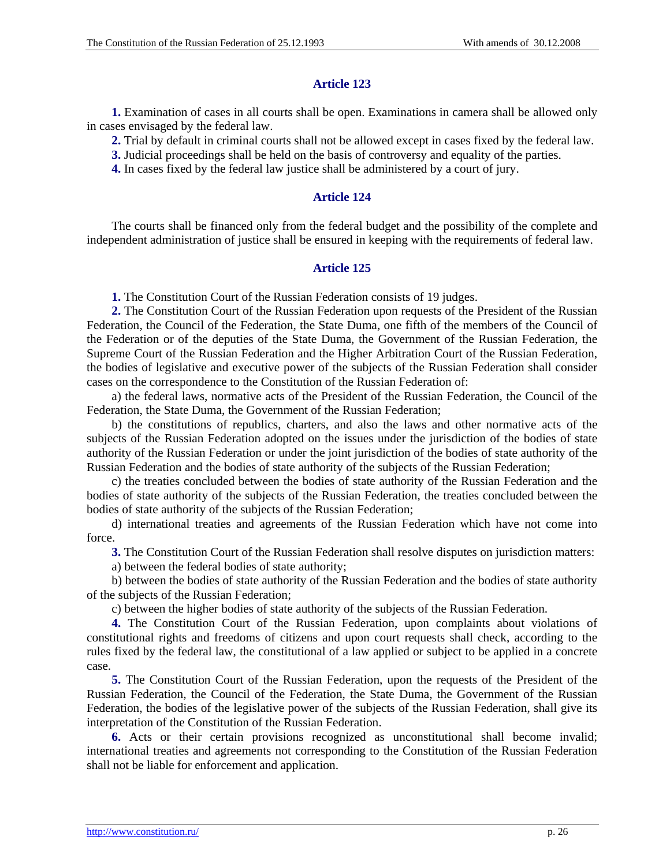## **Article 123**

**1.** Examination of cases in all courts shall be open. Examinations in camera shall be allowed only in cases envisaged by the federal law.

**2.** Trial by default in criminal courts shall not be allowed except in cases fixed by the federal law.

**3.** Judicial proceedings shall be held on the basis of controversy and equality of the parties.

**4.** In cases fixed by the federal law justice shall be administered by a court of jury.

## **Article 124**

The courts shall be financed only from the federal budget and the possibility of the complete and independent administration of justice shall be ensured in keeping with the requirements of federal law.

## **Article 125**

**1.** The Constitution Court of the Russian Federation consists of 19 judges.

**2.** The Constitution Court of the Russian Federation upon requests of the President of the Russian Federation, the Council of the Federation, the State Duma, one fifth of the members of the Council of the Federation or of the deputies of the State Duma, the Government of the Russian Federation, the Supreme Court of the Russian Federation and the Higher Arbitration Court of the Russian Federation, the bodies of legislative and executive power of the subjects of the Russian Federation shall consider cases on the correspondence to the Constitution of the Russian Federation of:

a) the federal laws, normative acts of the President of the Russian Federation, the Council of the Federation, the State Duma, the Government of the Russian Federation;

b) the constitutions of republics, charters, and also the laws and other normative acts of the subjects of the Russian Federation adopted on the issues under the jurisdiction of the bodies of state authority of the Russian Federation or under the joint jurisdiction of the bodies of state authority of the Russian Federation and the bodies of state authority of the subjects of the Russian Federation;

c) the treaties concluded between the bodies of state authority of the Russian Federation and the bodies of state authority of the subjects of the Russian Federation, the treaties concluded between the bodies of state authority of the subjects of the Russian Federation;

d) international treaties and agreements of the Russian Federation which have not come into force.

**3.** The Constitution Court of the Russian Federation shall resolve disputes on jurisdiction matters:

a) between the federal bodies of state authority;

b) between the bodies of state authority of the Russian Federation and the bodies of state authority of the subjects of the Russian Federation;

c) between the higher bodies of state authority of the subjects of the Russian Federation.

**4.** The Constitution Court of the Russian Federation, upon complaints about violations of constitutional rights and freedoms of citizens and upon court requests shall check, according to the rules fixed by the federal law, the constitutional of a law applied or subject to be applied in a concrete case.

**5.** The Constitution Court of the Russian Federation, upon the requests of the President of the Russian Federation, the Council of the Federation, the State Duma, the Government of the Russian Federation, the bodies of the legislative power of the subjects of the Russian Federation, shall give its interpretation of the Constitution of the Russian Federation.

**6.** Acts or their certain provisions recognized as unconstitutional shall become invalid; international treaties and agreements not corresponding to the Constitution of the Russian Federation shall not be liable for enforcement and application.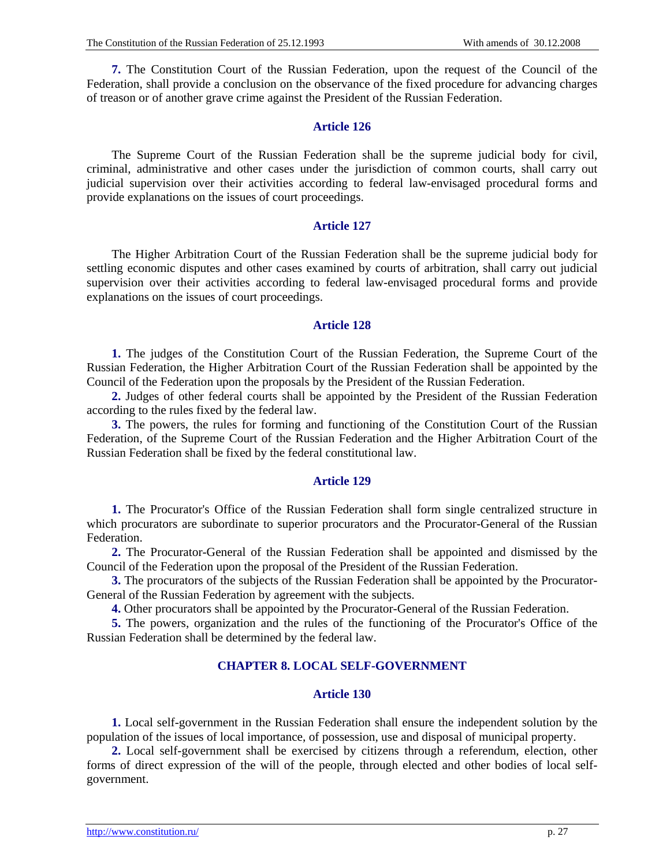**7.** The Constitution Court of the Russian Federation, upon the request of the Council of the Federation, shall provide a conclusion on the observance of the fixed procedure for advancing charges of treason or of another grave crime against the President of the Russian Federation.

#### **Article 126**

The Supreme Court of the Russian Federation shall be the supreme judicial body for civil, criminal, administrative and other cases under the jurisdiction of common courts, shall carry out judicial supervision over their activities according to federal law-envisaged procedural forms and provide explanations on the issues of court proceedings.

### **Article 127**

The Higher Arbitration Court of the Russian Federation shall be the supreme judicial body for settling economic disputes and other cases examined by courts of arbitration, shall carry out judicial supervision over their activities according to federal law-envisaged procedural forms and provide explanations on the issues of court proceedings.

### **Article 128**

**1.** The judges of the Constitution Court of the Russian Federation, the Supreme Court of the Russian Federation, the Higher Arbitration Court of the Russian Federation shall be appointed by the Council of the Federation upon the proposals by the President of the Russian Federation.

**2.** Judges of other federal courts shall be appointed by the President of the Russian Federation according to the rules fixed by the federal law.

**3.** The powers, the rules for forming and functioning of the Constitution Court of the Russian Federation, of the Supreme Court of the Russian Federation and the Higher Arbitration Court of the Russian Federation shall be fixed by the federal constitutional law.

#### **Article 129**

**1.** The Procurator's Office of the Russian Federation shall form single centralized structure in which procurators are subordinate to superior procurators and the Procurator-General of the Russian Federation.

**2.** The Procurator-General of the Russian Federation shall be appointed and dismissed by the Council of the Federation upon the proposal of the President of the Russian Federation.

**3.** The procurators of the subjects of the Russian Federation shall be appointed by the Procurator-General of the Russian Federation by agreement with the subjects.

**4.** Other procurators shall be appointed by the Procurator-General of the Russian Federation.

**5.** The powers, organization and the rules of the functioning of the Procurator's Office of the Russian Federation shall be determined by the federal law.

#### **CHAPTER 8. LOCAL SELF-GOVERNMENT**

#### **Article 130**

**1.** Local self-government in the Russian Federation shall ensure the independent solution by the population of the issues of local importance, of possession, use and disposal of municipal property.

**2.** Local self-government shall be exercised by citizens through a referendum, election, other forms of direct expression of the will of the people, through elected and other bodies of local selfgovernment.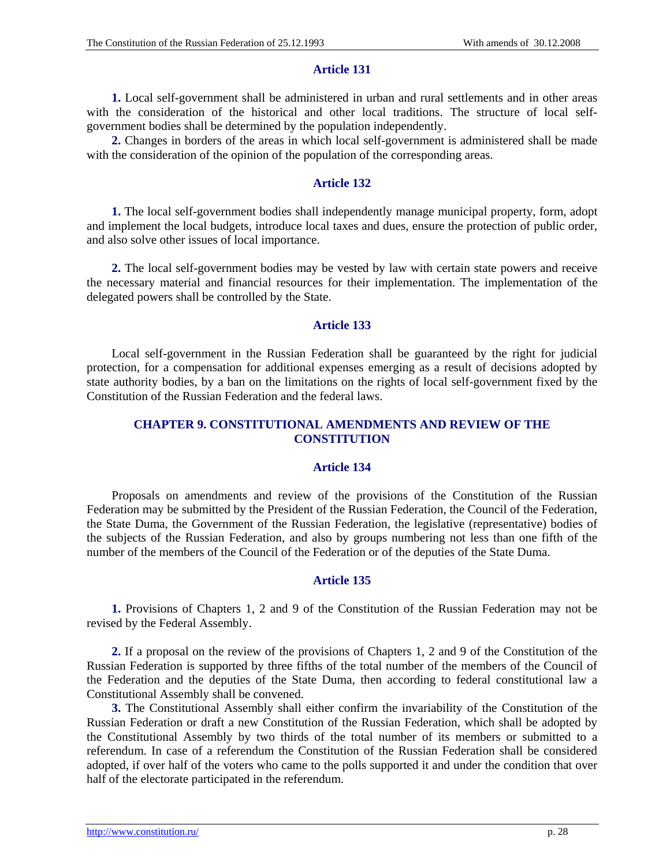## **Article 131**

**1.** Local self-government shall be administered in urban and rural settlements and in other areas with the consideration of the historical and other local traditions. The structure of local selfgovernment bodies shall be determined by the population independently.

**2.** Changes in borders of the areas in which local self-government is administered shall be made with the consideration of the opinion of the population of the corresponding areas.

## **Article 132**

**1.** The local self-government bodies shall independently manage municipal property, form, adopt and implement the local budgets, introduce local taxes and dues, ensure the protection of public order, and also solve other issues of local importance.

**2.** The local self-government bodies may be vested by law with certain state powers and receive the necessary material and financial resources for their implementation. The implementation of the delegated powers shall be controlled by the State.

### **Article 133**

Local self-government in the Russian Federation shall be guaranteed by the right for judicial protection, for a compensation for additional expenses emerging as a result of decisions adopted by state authority bodies, by a ban on the limitations on the rights of local self-government fixed by the Constitution of the Russian Federation and the federal laws.

## **CHAPTER 9. CONSTITUTIONAL AMENDMENTS AND REVIEW OF THE CONSTITUTION**

#### **Article 134**

Proposals on amendments and review of the provisions of the Constitution of the Russian Federation may be submitted by the President of the Russian Federation, the Council of the Federation, the State Duma, the Government of the Russian Federation, the legislative (representative) bodies of the subjects of the Russian Federation, and also by groups numbering not less than one fifth of the number of the members of the Council of the Federation or of the deputies of the State Duma.

#### **Article 135**

**1.** Provisions of Chapters 1, 2 and 9 of the Constitution of the Russian Federation may not be revised by the Federal Assembly.

**2.** If a proposal on the review of the provisions of Chapters 1, 2 and 9 of the Constitution of the Russian Federation is supported by three fifths of the total number of the members of the Council of the Federation and the deputies of the State Duma, then according to federal constitutional law a Constitutional Assembly shall be convened.

**3.** The Constitutional Assembly shall either confirm the invariability of the Constitution of the Russian Federation or draft a new Constitution of the Russian Federation, which shall be adopted by the Constitutional Assembly by two thirds of the total number of its members or submitted to a referendum. In case of a referendum the Constitution of the Russian Federation shall be considered adopted, if over half of the voters who came to the polls supported it and under the condition that over half of the electorate participated in the referendum.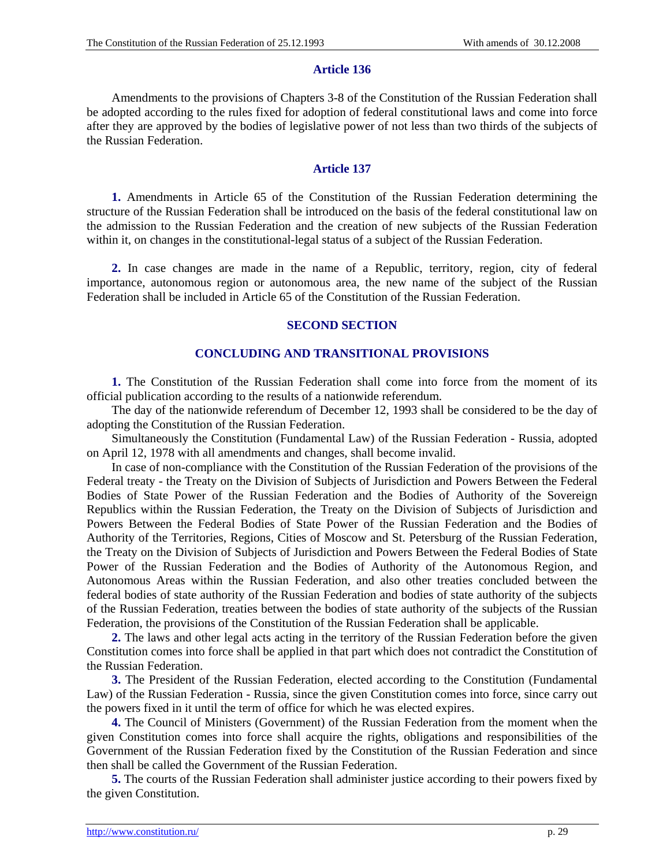## **Article 136**

Amendments to the provisions of Chapters 3-8 of the Constitution of the Russian Federation shall be adopted according to the rules fixed for adoption of federal constitutional laws and come into force after they are approved by the bodies of legislative power of not less than two thirds of the subjects of the Russian Federation.

## **Article 137**

**1.** Amendments in Article 65 of the Constitution of the Russian Federation determining the structure of the Russian Federation shall be introduced on the basis of the federal constitutional law on the admission to the Russian Federation and the creation of new subjects of the Russian Federation within it, on changes in the constitutional-legal status of a subject of the Russian Federation.

**2.** In case changes are made in the name of a Republic, territory, region, city of federal importance, autonomous region or autonomous area, the new name of the subject of the Russian Federation shall be included in Article 65 of the Constitution of the Russian Federation.

## **SECOND SECTION**

## **CONCLUDING AND TRANSITIONAL PROVISIONS**

**1.** The Constitution of the Russian Federation shall come into force from the moment of its official publication according to the results of a nationwide referendum.

The day of the nationwide referendum of December 12, 1993 shall be considered to be the day of adopting the Constitution of the Russian Federation.

Simultaneously the Constitution (Fundamental Law) of the Russian Federation - Russia, adopted on April 12, 1978 with all amendments and changes, shall become invalid.

In case of non-compliance with the Constitution of the Russian Federation of the provisions of the Federal treaty - the Treaty on the Division of Subjects of Jurisdiction and Powers Between the Federal Bodies of State Power of the Russian Federation and the Bodies of Authority of the Sovereign Republics within the Russian Federation, the Treaty on the Division of Subjects of Jurisdiction and Powers Between the Federal Bodies of State Power of the Russian Federation and the Bodies of Authority of the Territories, Regions, Cities of Moscow and St. Petersburg of the Russian Federation, the Treaty on the Division of Subjects of Jurisdiction and Powers Between the Federal Bodies of State Power of the Russian Federation and the Bodies of Authority of the Autonomous Region, and Autonomous Areas within the Russian Federation, and also other treaties concluded between the federal bodies of state authority of the Russian Federation and bodies of state authority of the subjects of the Russian Federation, treaties between the bodies of state authority of the subjects of the Russian Federation, the provisions of the Constitution of the Russian Federation shall be applicable.

**2.** The laws and other legal acts acting in the territory of the Russian Federation before the given Constitution comes into force shall be applied in that part which does not contradict the Constitution of the Russian Federation.

**3.** The President of the Russian Federation, elected according to the Constitution (Fundamental Law) of the Russian Federation - Russia, since the given Constitution comes into force, since carry out the powers fixed in it until the term of office for which he was elected expires.

**4.** The Council of Ministers (Government) of the Russian Federation from the moment when the given Constitution comes into force shall acquire the rights, obligations and responsibilities of the Government of the Russian Federation fixed by the Constitution of the Russian Federation and since then shall be called the Government of the Russian Federation.

**5.** The courts of the Russian Federation shall administer justice according to their powers fixed by the given Constitution.